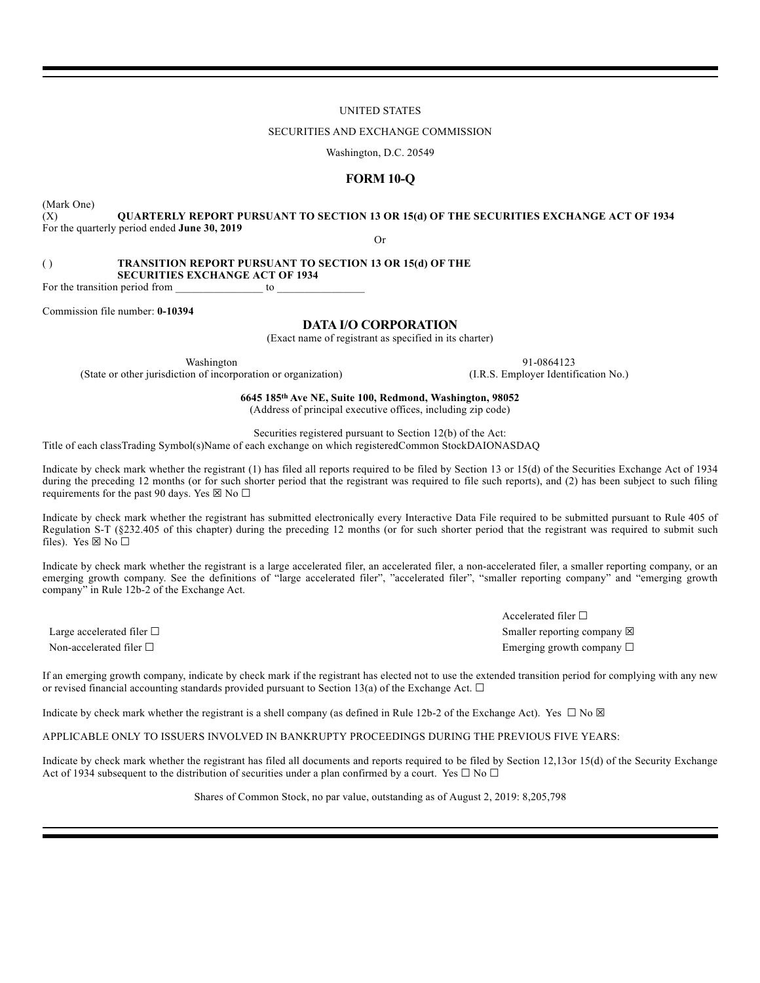#### UNITED STATES

SECURITIES AND EXCHANGE COMMISSION

Washington, D.C. 20549

## **FORM 10-Q**

(Mark One) (X) **QUARTERLY REPORT PURSUANT TO SECTION 13 OR 15(d) OF THE SECURITIES EXCHANGE ACT OF 1934** For the quarterly period ended **June 30, 2019**

Or

#### ( ) **TRANSITION REPORT PURSUANT TO SECTION 13 OR 15(d) OF THE SECURITIES EXCHANGE ACT OF 1934**

For the transition period from to  $\sim$ 

Commission file number: **0-10394**

#### **DATA I/O CORPORATION**

(Exact name of registrant as specified in its charter)

(State or other jurisdiction of incorporation or organization)

Washington 91-0864123<br>
ion of incorporation or organization) (I.R.S. Employer Identification No.)

**6645 185 th Ave NE, Suite 100, Redmond, Washington, 98052**

(Address of principal executive offices, including zip code)

Securities registered pursuant to Section 12(b) of the Act: Title of each classTrading Symbol(s)Name of each exchange on which registeredCommon StockDAIONASDAQ

Indicate by check mark whether the registrant (1) has filed all reports required to be filed by Section 13 or 15(d) of the Securities Exchange Act of 1934 during the preceding 12 months (or for such shorter period that the registrant was required to file such reports), and (2) has been subject to such filing requirements for the past 90 days. Yes  $\boxtimes$  No  $\Box$ 

Indicate by check mark whether the registrant has submitted electronically every Interactive Data File required to be submitted pursuant to Rule 405 of Regulation S-T (§232.405 of this chapter) during the preceding 12 months (or for such shorter period that the registrant was required to submit such files). Yes  $\boxtimes$  No  $\square$ 

Indicate by check mark whether the registrant is a large accelerated filer, an accelerated filer, a non-accelerated filer, a smaller reporting company, or an emerging growth company. See the definitions of "large accelerated filer", "accelerated filer", "smaller reporting company" and "emerging growth company" in Rule 12b-2 of the Exchange Act.

Accelerated filer  $\Box$ Large accelerated filer □ state of late state of late state of late state of late state of late state of late state of late state of late state of late state of late state of late state of late state of late state of late Non-accelerated filer □ example of the state of the state of the state of the state of the state of the state of the state of the state of the state of the state of the state of the state of the state of the state of the

If an emerging growth company, indicate by check mark if the registrant has elected not to use the extended transition period for complying with any new or revised financial accounting standards provided pursuant to Section 13(a) of the Exchange Act.  $\Box$ 

Indicate by check mark whether the registrant is a shell company (as defined in Rule 12b-2 of the Exchange Act). Yes  $\Box$  No  $\boxtimes$ 

APPLICABLE ONLY TO ISSUERS INVOLVED IN BANKRUPTY PROCEEDINGS DURING THE PREVIOUS FIVE YEARS:

Indicate by check mark whether the registrant has filed all documents and reports required to be filed by Section 12,13or 15(d) of the Security Exchange Act of 1934 subsequent to the distribution of securities under a plan confirmed by a court. Yes  $\Box$  No  $\Box$ 

Shares of Common Stock, no par value, outstanding as of August 2, 2019: 8,205,798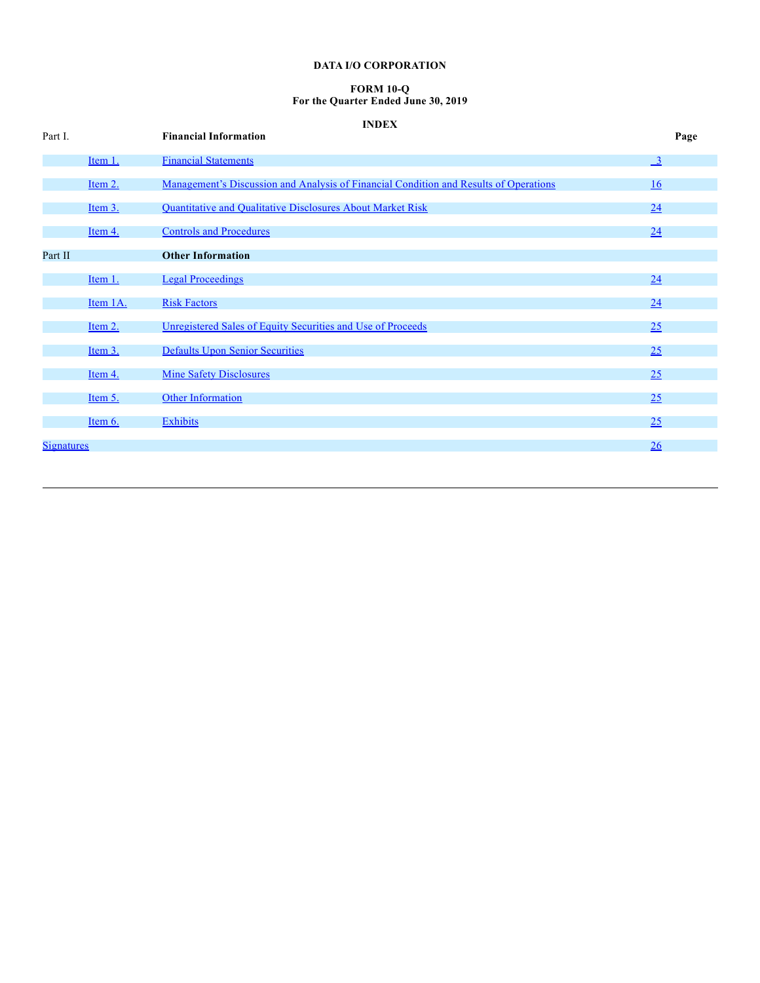# **DATA I/O CORPORATION**

#### **FORM 10-Q For the Quarter Ended June 30, 2019**

#### **INDEX**

| Part I.           |            | <b>Financial Information</b>                                                          | Page                    |
|-------------------|------------|---------------------------------------------------------------------------------------|-------------------------|
|                   | Item 1.    | <b>Financial Statements</b>                                                           | $\overline{\mathbf{3}}$ |
|                   | Item 2.    | Management's Discussion and Analysis of Financial Condition and Results of Operations | 16                      |
|                   | Item 3.    | Quantitative and Qualitative Disclosures About Market Risk                            | 24                      |
|                   | Item 4.    | <b>Controls and Procedures</b>                                                        | 24                      |
| Part II           |            | <b>Other Information</b>                                                              |                         |
|                   | Item $1$ . | <b>Legal Proceedings</b>                                                              | 24                      |
|                   | Item 1A.   | <b>Risk Factors</b>                                                                   | 24                      |
|                   | Item 2.    | Unregistered Sales of Equity Securities and Use of Proceeds                           | 25                      |
|                   | Item 3.    | <b>Defaults Upon Senior Securities</b>                                                | 25                      |
|                   | Item 4.    | <b>Mine Safety Disclosures</b>                                                        | 25                      |
|                   | Item 5.    | Other Information                                                                     | 25                      |
|                   | Item $6.$  | <b>Exhibits</b>                                                                       | 25                      |
| <b>Signatures</b> |            |                                                                                       | 26                      |
|                   |            |                                                                                       |                         |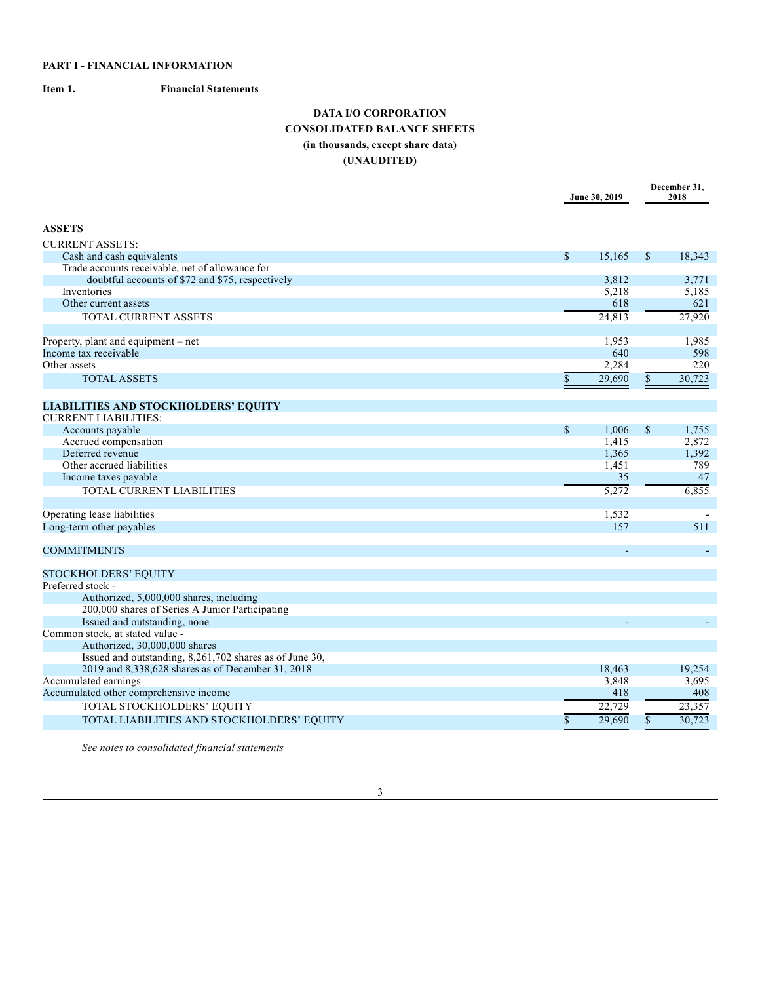<span id="page-2-0"></span>

#### **Item 1. Financial Statements**

# **DATA I/O CORPORATION CONSOLIDATED BALANCE SHEETS (in thousands, except share data) (UNAUDITED)**

**December 31,**

|                                                                                                              |              | June 30, 2019 |                         |        |
|--------------------------------------------------------------------------------------------------------------|--------------|---------------|-------------------------|--------|
| <b>ASSETS</b>                                                                                                |              |               |                         |        |
|                                                                                                              |              |               |                         |        |
| <b>CURRENT ASSETS:</b>                                                                                       |              |               |                         |        |
| Cash and cash equivalents                                                                                    | $\mathbb{S}$ | 15,165        | $\mathbb{S}$            | 18,343 |
| Trade accounts receivable, net of allowance for                                                              |              |               |                         |        |
| doubtful accounts of \$72 and \$75, respectively                                                             |              | 3,812         |                         | 3,771  |
| Inventories                                                                                                  |              | 5,218         |                         | 5,185  |
| Other current assets                                                                                         |              | 618           |                         | 621    |
| <b>TOTAL CURRENT ASSETS</b>                                                                                  |              | 24,813        |                         | 27,920 |
| Property, plant and equipment - net                                                                          |              | 1,953         |                         | 1,985  |
| Income tax receivable                                                                                        |              | 640           |                         | 598    |
| Other assets                                                                                                 |              | 2,284         |                         | 220    |
| <b>TOTAL ASSETS</b>                                                                                          | \$           | 29,690        | $\overline{\mathbb{S}}$ | 30,723 |
|                                                                                                              |              |               |                         |        |
| <b>LIABILITIES AND STOCKHOLDERS' EQUITY</b>                                                                  |              |               |                         |        |
| <b>CURRENT LIABILITIES:</b>                                                                                  |              |               |                         |        |
| Accounts payable                                                                                             | $\mathbf S$  | 1.006         | $\mathbb{S}$            | 1,755  |
| Accrued compensation                                                                                         |              | 1,415         |                         | 2,872  |
| Deferred revenue                                                                                             |              | 1,365         |                         | 1,392  |
| Other accrued liabilities                                                                                    |              | 1,451         |                         | 789    |
| Income taxes payable                                                                                         |              | 35            |                         | 47     |
| TOTAL CURRENT LIABILITIES                                                                                    |              | 5,272         |                         | 6,855  |
| Operating lease liabilities                                                                                  |              | 1,532         |                         |        |
| Long-term other payables                                                                                     |              | 157           |                         | 511    |
| <b>COMMITMENTS</b>                                                                                           |              |               |                         |        |
|                                                                                                              |              |               |                         |        |
| <b>STOCKHOLDERS' EQUITY</b>                                                                                  |              |               |                         |        |
| Preferred stock -                                                                                            |              |               |                         |        |
| Authorized, 5,000,000 shares, including                                                                      |              |               |                         |        |
| 200,000 shares of Series A Junior Participating                                                              |              |               |                         |        |
| Issued and outstanding, none                                                                                 |              |               |                         |        |
| Common stock, at stated value -<br>Authorized, 30,000,000 shares                                             |              |               |                         |        |
|                                                                                                              |              |               |                         |        |
| Issued and outstanding, 8,261,702 shares as of June 30,<br>2019 and 8,338,628 shares as of December 31, 2018 |              | 18,463        |                         | 19,254 |
| Accumulated earnings                                                                                         |              | 3,848         |                         | 3,695  |
| Accumulated other comprehensive income                                                                       |              | 418           |                         | 408    |
|                                                                                                              |              |               |                         |        |
| TOTAL STOCKHOLDERS' EQUITY                                                                                   |              | 22,729        |                         | 23,357 |
| TOTAL LIABILITIES AND STOCKHOLDERS' EQUITY                                                                   |              | 29.690        | \$.                     | 30,723 |

*See notes to consolidated financial statements*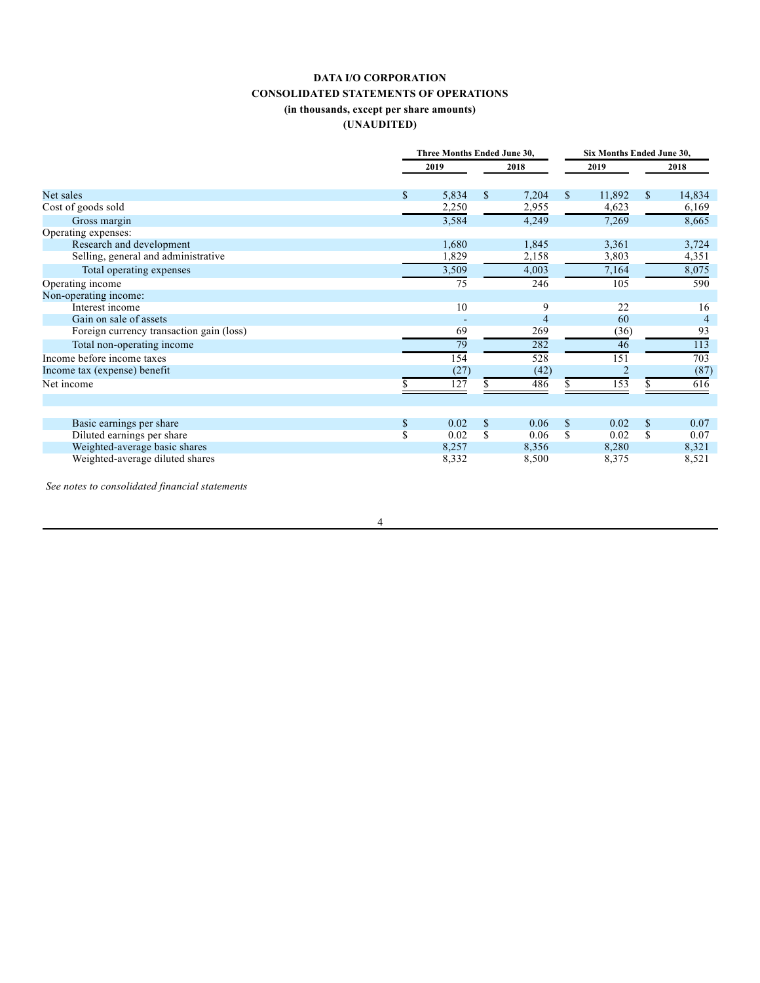# **DATA I/O CORPORATION CONSOLIDATED STATEMENTS OF OPERATIONS (in thousands, except per share amounts) (UNAUDITED)**

|                                          |              | Three Months Ended June 30. |              |                | Six Months Ended June 30, |                  |               |                |  |      |
|------------------------------------------|--------------|-----------------------------|--------------|----------------|---------------------------|------------------|---------------|----------------|--|------|
|                                          |              | 2019                        |              |                |                           | 2018             |               | 2019           |  | 2018 |
| Net sales                                | $\mathbb{S}$ | 5,834                       | $\mathbb{S}$ | 7,204          | $\mathbb{S}$              | 11,892           | $\mathbb{S}$  | 14,834         |  |      |
| Cost of goods sold                       |              | 2,250                       |              | 2,955          |                           | 4,623            |               | 6,169          |  |      |
| Gross margin                             |              | 3,584                       |              | 4,249          |                           | 7,269            |               | 8,665          |  |      |
| Operating expenses:                      |              |                             |              |                |                           |                  |               |                |  |      |
| Research and development                 |              | 1,680                       |              | 1,845          |                           | 3,361            |               | 3,724          |  |      |
| Selling, general and administrative      |              | 1,829                       |              | 2,158          |                           | 3,803            |               | 4,351          |  |      |
| Total operating expenses                 |              | 3,509                       |              | 4,003          |                           | 7,164            |               | 8,075          |  |      |
| Operating income                         |              | 75                          |              | 246            |                           | 105              |               | 590            |  |      |
| Non-operating income:                    |              |                             |              |                |                           |                  |               |                |  |      |
| Interest income                          |              | 10                          |              | 9              |                           | 22               |               | 16             |  |      |
| Gain on sale of assets                   |              |                             |              | $\overline{4}$ |                           | 60               |               | $\overline{4}$ |  |      |
| Foreign currency transaction gain (loss) |              | 69                          |              | 269            |                           | (36)             |               | 93             |  |      |
| Total non-operating income               |              | 79                          |              | 282            |                           | 46               |               | 113            |  |      |
| Income before income taxes               |              | 154                         |              | 528            |                           | 151              |               | 703            |  |      |
| Income tax (expense) benefit             |              | (27)                        |              | (42)           |                           |                  |               | (87)           |  |      |
| Net income                               |              | 127                         |              | 486            |                           | $\overline{153}$ |               | 616            |  |      |
|                                          |              |                             |              |                |                           |                  |               |                |  |      |
| Basic earnings per share                 | \$           | 0.02                        | $\mathbb{S}$ | 0.06           | $\mathbb{S}$              | 0.02             | <sup>\$</sup> | 0.07           |  |      |
| Diluted earnings per share               | \$           | 0.02                        | \$           | 0.06           | \$                        | 0.02             | \$            | 0.07           |  |      |
| Weighted-average basic shares            |              | 8,257                       |              | 8,356          |                           | 8,280            |               | 8,321          |  |      |
| Weighted-average diluted shares          |              | 8,332                       |              | 8,500          |                           | 8,375            |               | 8,521          |  |      |

*See notes to consolidated financial statements*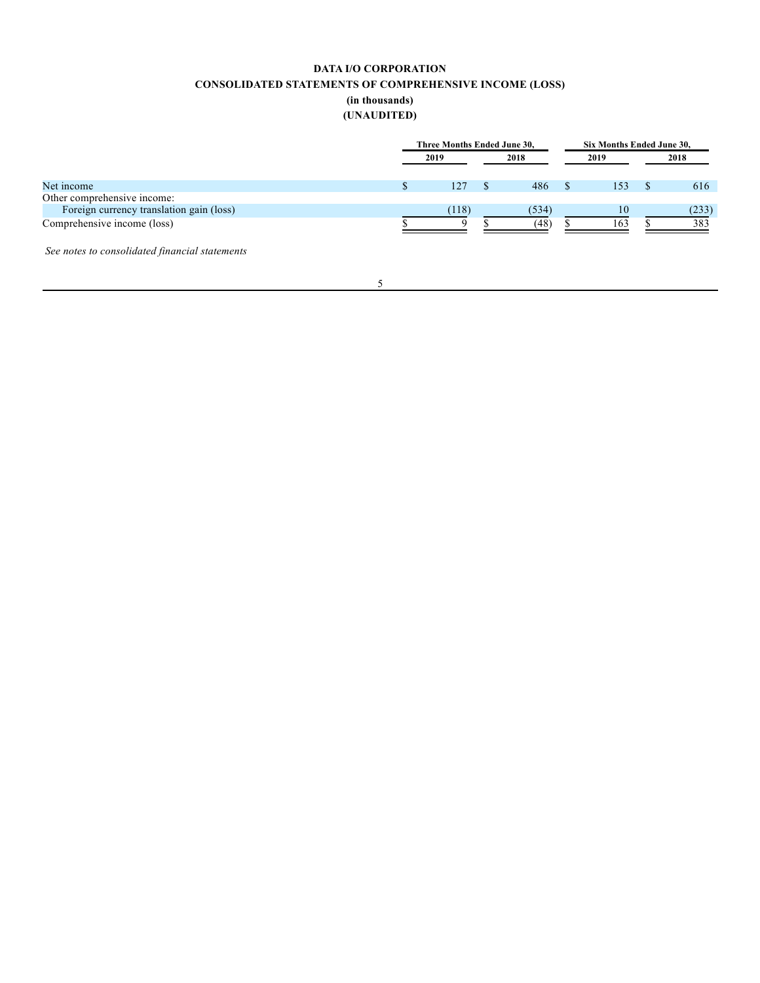# **DATA I/O CORPORATION CONSOLIDATED STATEMENTS OF COMPREHENSIVE INCOME (LOSS) (in thousands) (UNAUDITED)**

|                                                | Three Months Ended June 30, |       |  |       |  | Six Months Ended June 30, |      |       |  |
|------------------------------------------------|-----------------------------|-------|--|-------|--|---------------------------|------|-------|--|
|                                                | 2019<br>2018                |       |  | 2019  |  |                           | 2018 |       |  |
| Net income                                     | S                           | 127   |  | 486   |  | 153                       |      | 616   |  |
| Other comprehensive income:                    |                             |       |  |       |  |                           |      |       |  |
| Foreign currency translation gain (loss)       |                             | (118) |  | (534) |  | 10                        |      | (233) |  |
| Comprehensive income (loss)                    |                             |       |  | (48)  |  | 163                       |      | 383   |  |
| See notes to consolidated financial statements |                             |       |  |       |  |                           |      |       |  |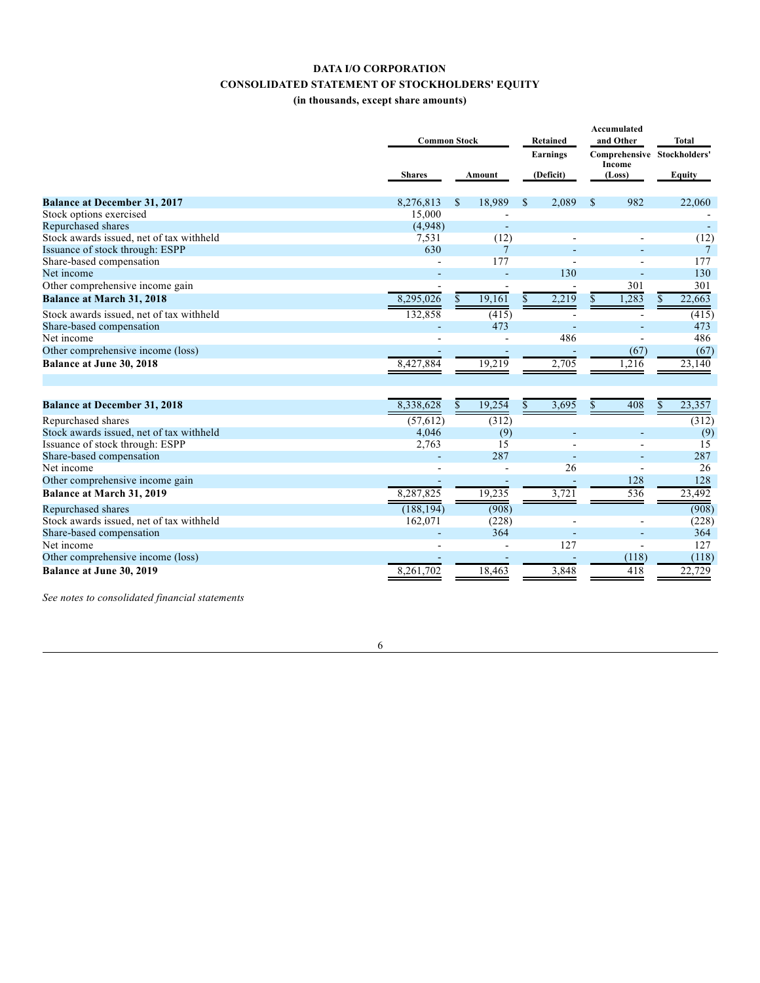# **DATA I/O CORPORATION CONSOLIDATED STATEMENT OF STOCKHOLDERS' EQUITY**

**(in thousands, except share amounts)**

|                                          |                          |              |                          |               |                          |    | <b>Accumulated</b>           |                             |  |              |
|------------------------------------------|--------------------------|--------------|--------------------------|---------------|--------------------------|----|------------------------------|-----------------------------|--|--------------|
|                                          | <b>Common Stock</b>      |              |                          |               |                          |    | <b>Retained</b><br>and Other |                             |  | <b>Total</b> |
|                                          |                          |              |                          |               | Earnings                 |    | Income                       | Comprehensive Stockholders' |  |              |
|                                          | <b>Shares</b>            |              | Amount                   | (Deficit)     |                          |    | (Loss)                       | Equity                      |  |              |
| <b>Balance at December 31, 2017</b>      | 8,276,813                | \$           | 18,989                   | <sup>\$</sup> | 2,089                    | \$ | 982                          | 22,060                      |  |              |
| Stock options exercised                  | 15,000                   |              |                          |               |                          |    |                              |                             |  |              |
| Repurchased shares                       | (4,948)                  |              | ÷                        |               |                          |    |                              |                             |  |              |
| Stock awards issued, net of tax withheld | 7,531                    |              | (12)                     |               |                          |    |                              | (12)                        |  |              |
| Issuance of stock through: ESPP          | 630                      |              | 7                        |               |                          |    |                              | $7\phantom{.0}$             |  |              |
| Share-based compensation                 |                          |              | 177                      |               |                          |    |                              | 177                         |  |              |
| Net income                               |                          |              |                          |               | 130                      |    |                              | 130                         |  |              |
| Other comprehensive income gain          |                          |              |                          |               |                          |    | 301                          | 301                         |  |              |
| <b>Balance at March 31, 2018</b>         | 8,295,026                | $\mathbb{S}$ | 19,161                   | $\mathbb{S}$  | 2,219                    | \$ | 1,283                        | 22,663<br>$\mathbb{S}$      |  |              |
| Stock awards issued, net of tax withheld | 132,858                  |              | (415)                    |               |                          |    | $\overline{\phantom{a}}$     | (415)                       |  |              |
| Share-based compensation                 |                          |              | 473                      |               |                          |    |                              | 473                         |  |              |
| Net income                               |                          |              |                          |               | 486                      |    |                              | 486                         |  |              |
| Other comprehensive income (loss)        | $\overline{\phantom{a}}$ |              | $\overline{\phantom{a}}$ |               | $\overline{\phantom{a}}$ |    | (67)                         | (67)                        |  |              |
| <b>Balance at June 30, 2018</b>          | 8,427,884                |              | 19,219                   |               | 2,705                    |    | 1,216                        | 23,140                      |  |              |
|                                          |                          |              |                          |               |                          |    |                              |                             |  |              |
| <b>Balance at December 31, 2018</b>      | 8,338,628                | \$           | 19,254                   | <sup>\$</sup> | 3,695                    | S. | 408                          | 23,357<br>\$                |  |              |
| Repurchased shares                       | (57, 612)                |              | (312)                    |               |                          |    |                              | (312)                       |  |              |
| Stock awards issued, net of tax withheld | 4,046                    |              | (9)                      |               |                          |    | $\overline{\phantom{a}}$     | (9)                         |  |              |
| Issuance of stock through: ESPP          | 2,763                    |              | 15                       |               |                          |    |                              | 15                          |  |              |
| Share-based compensation                 |                          |              | 287                      |               |                          |    |                              | 287                         |  |              |
| Net income                               |                          |              |                          |               | 26                       |    |                              | 26                          |  |              |
| Other comprehensive income gain          |                          |              |                          |               |                          |    | 128                          | 128                         |  |              |
| Balance at March 31, 2019                | 8,287,825                |              | 19,235                   |               | 3,721                    |    | 536                          | 23,492                      |  |              |
| Repurchased shares                       | (188, 194)               |              | (908)                    |               |                          |    |                              | (908)                       |  |              |
| Stock awards issued, net of tax withheld | 162,071                  |              | (228)                    |               |                          |    | $\overline{\phantom{a}}$     | (228)                       |  |              |
| Share-based compensation                 |                          |              | 364                      |               |                          |    | $\overline{\phantom{a}}$     | 364                         |  |              |
| Net income                               |                          |              |                          |               | 127                      |    |                              | 127                         |  |              |
| Other comprehensive income (loss)        |                          |              |                          |               |                          |    | (118)                        | (118)                       |  |              |
| Balance at June 30, 2019                 | 8,261,702                |              | 18,463                   |               | 3,848                    |    | 418                          | 22,729                      |  |              |

*See notes to consolidated financial statements*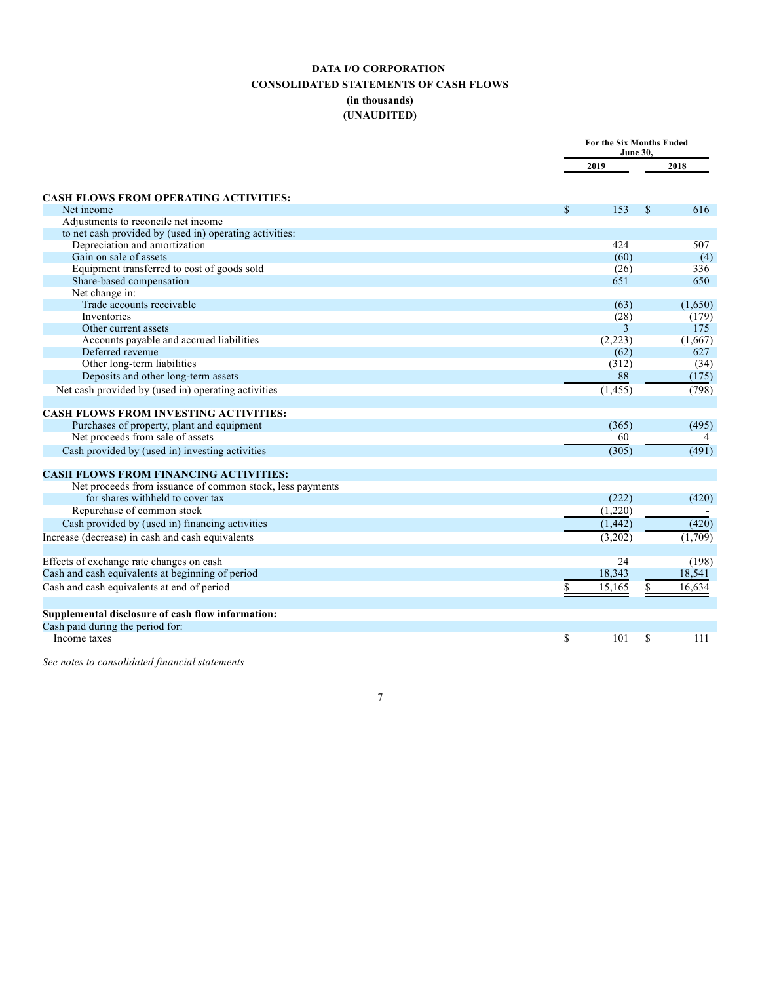# **DATA I/O CORPORATION CONSOLIDATED STATEMENTS OF CASH FLOWS (in thousands) (UNAUDITED)**

|                                                           |                     | For the Six Months Ended<br><b>June 30.</b> |
|-----------------------------------------------------------|---------------------|---------------------------------------------|
|                                                           | 2019                | 2018                                        |
| <b>CASH FLOWS FROM OPERATING ACTIVITIES:</b>              |                     |                                             |
| Net income                                                | $\mathbb{S}$<br>153 | $\mathbf S$<br>616                          |
| Adjustments to reconcile net income                       |                     |                                             |
| to net cash provided by (used in) operating activities:   |                     |                                             |
| Depreciation and amortization                             | 424                 | 507                                         |
| Gain on sale of assets                                    | (60)                | (4)                                         |
| Equipment transferred to cost of goods sold               | (26)                | 336                                         |
| Share-based compensation                                  | 651                 | 650                                         |
| Net change in:                                            |                     |                                             |
| Trade accounts receivable                                 | (63)                | (1,650)                                     |
| Inventories                                               | (28)                | (179)                                       |
| Other current assets                                      | 3                   | 175                                         |
| Accounts payable and accrued liabilities                  | (2,223)             | (1,667)                                     |
| Deferred revenue                                          | (62)                | 627                                         |
| Other long-term liabilities                               | (312)               | (34)                                        |
| Deposits and other long-term assets                       | 88                  | (175)                                       |
| Net cash provided by (used in) operating activities       | (1, 455)            | (798)                                       |
| <b>CASH FLOWS FROM INVESTING ACTIVITIES:</b>              |                     |                                             |
| Purchases of property, plant and equipment                | (365)               | (495)                                       |
| Net proceeds from sale of assets                          | 60                  | 4                                           |
| Cash provided by (used in) investing activities           | (305)               | (491)                                       |
| <b>CASH FLOWS FROM FINANCING ACTIVITIES:</b>              |                     |                                             |
| Net proceeds from issuance of common stock, less payments |                     |                                             |
| for shares withheld to cover tax                          | (222)               | (420)                                       |
| Repurchase of common stock                                | (1,220)             |                                             |
| Cash provided by (used in) financing activities           | (1, 442)            | (420)                                       |
| Increase (decrease) in cash and cash equivalents          | (3,202)             | (1,709)                                     |
|                                                           |                     |                                             |
| Effects of exchange rate changes on cash                  | 24                  | (198)                                       |
| Cash and cash equivalents at beginning of period          | 18,343              | 18,541                                      |
| Cash and cash equivalents at end of period                | \$<br>15,165        | 16.634<br>S.                                |
| Supplemental disclosure of cash flow information:         |                     |                                             |
| Cash paid during the period for:                          |                     |                                             |
| Income taxes                                              | \$<br>101           | <sup>\$</sup><br>111                        |
|                                                           |                     |                                             |
| See notes to consolidated financial statements            |                     |                                             |

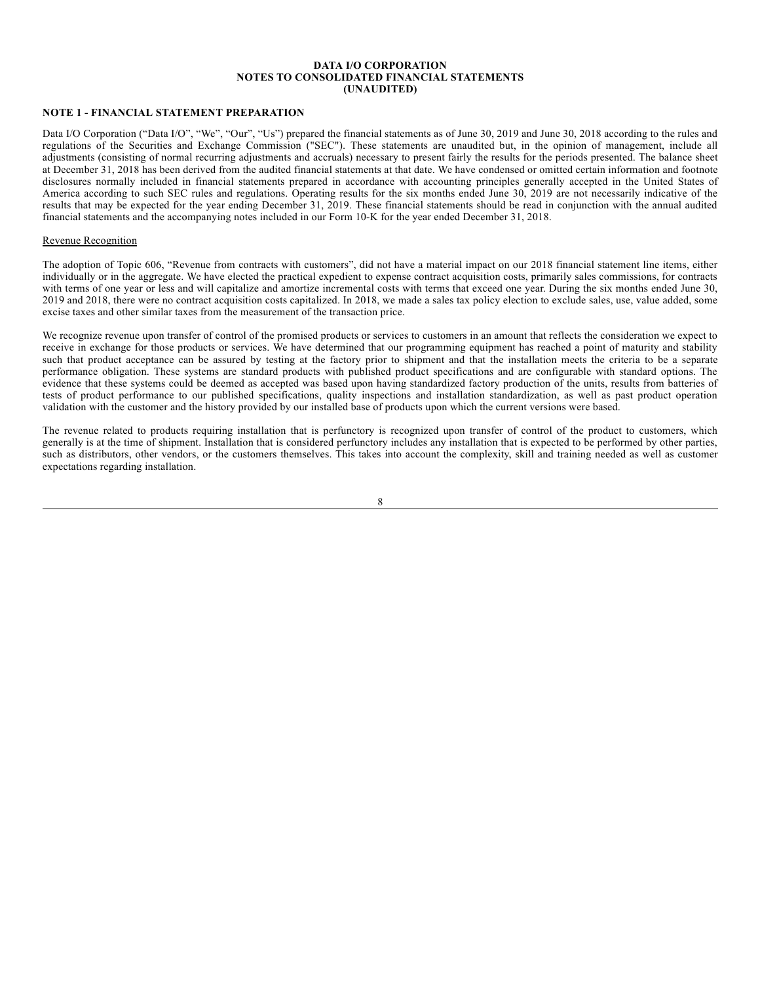#### **DATA I/O CORPORATION NOTES TO CONSOLIDATED FINANCIAL STATEMENTS (UNAUDITED)**

#### **NOTE 1 - FINANCIAL STATEMENT PREPARATION**

Data I/O Corporation ("Data I/O", "We", "Our", "Us") prepared the financial statements as of June 30, 2019 and June 30, 2018 according to the rules and regulations of the Securities and Exchange Commission ("SEC"). These statements are unaudited but, in the opinion of management, include all adjustments (consisting of normal recurring adjustments and accruals) necessary to present fairly the results for the periods presented. The balance sheet at December 31, 2018 has been derived from the audited financial statements at that date. We have condensed or omitted certain information and footnote disclosures normally included in financial statements prepared in accordance with accounting principles generally accepted in the United States of America according to such SEC rules and regulations. Operating results for the six months ended June 30, 2019 are not necessarily indicative of the results that may be expected for the year ending December 31, 2019. These financial statements should be read in conjunction with the annual audited financial statements and the accompanying notes included in our Form 10-K for the year ended December 31, 2018.

#### Revenue Recognition

The adoption of Topic 606, "Revenue from contracts with customers", did not have a material impact on our 2018 financial statement line items, either individually or in the aggregate. We have elected the practical expedient to expense contract acquisition costs, primarily sales commissions, for contracts with terms of one year or less and will capitalize and amortize incremental costs with terms that exceed one year. During the six months ended June 30, 2019 and 2018, there were no contract acquisition costs capitalized. In 2018, we made a sales tax policy election to exclude sales, use, value added, some excise taxes and other similar taxes from the measurement of the transaction price.

We recognize revenue upon transfer of control of the promised products or services to customers in an amount that reflects the consideration we expect to receive in exchange for those products or services. We have determined that our programming equipment has reached a point of maturity and stability such that product acceptance can be assured by testing at the factory prior to shipment and that the installation meets the criteria to be a separate performance obligation. These systems are standard products with published product specifications and are configurable with standard options. The evidence that these systems could be deemed as accepted was based upon having standardized factory production of the units, results from batteries of tests of product performance to our published specifications, quality inspections and installation standardization, as well as past product operation validation with the customer and the history provided by our installed base of products upon which the current versions were based.

The revenue related to products requiring installation that is perfunctory is recognized upon transfer of control of the product to customers, which generally is at the time of shipment. Installation that is considered perfunctory includes any installation that is expected to be performed by other parties, such as distributors, other vendors, or the customers themselves. This takes into account the complexity, skill and training needed as well as customer expectations regarding installation.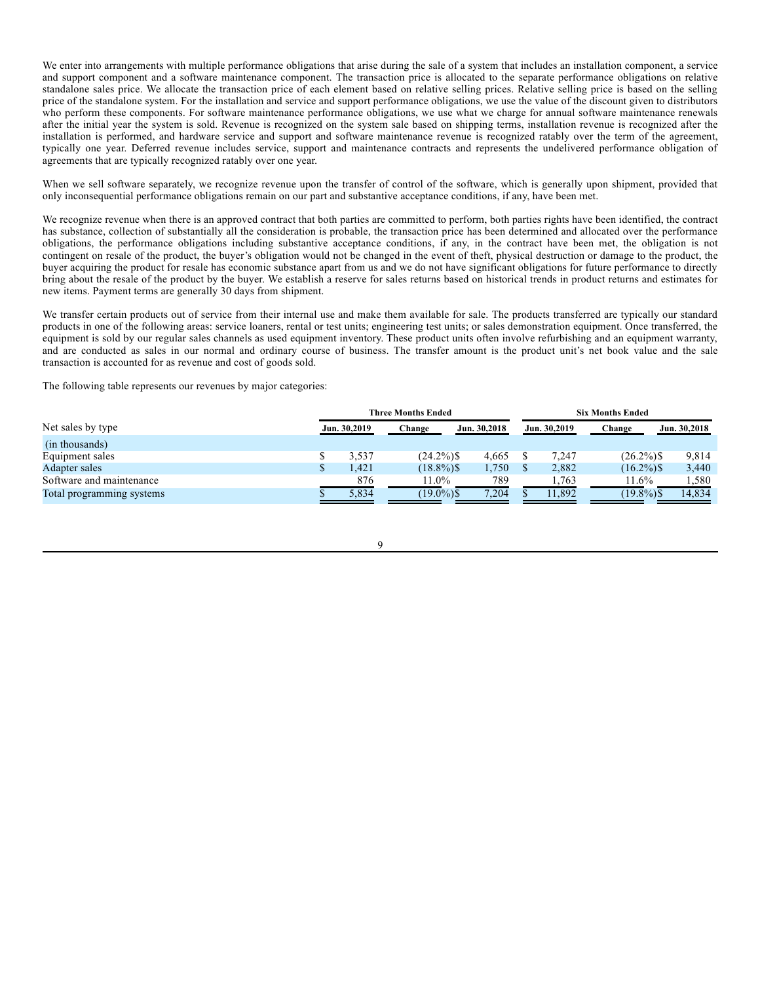We enter into arrangements with multiple performance obligations that arise during the sale of a system that includes an installation component, a service and support component and a software maintenance component. The transaction price is allocated to the separate performance obligations on relative standalone sales price. We allocate the transaction price of each element based on relative selling prices. Relative selling price is based on the selling price of the standalone system. For the installation and service and support performance obligations, we use the value of the discount given to distributors who perform these components. For software maintenance performance obligations, we use what we charge for annual software maintenance renewals after the initial year the system is sold. Revenue is recognized on the system sale based on shipping terms, installation revenue is recognized after the installation is performed, and hardware service and support and software maintenance revenue is recognized ratably over the term of the agreement, typically one year. Deferred revenue includes service, support and maintenance contracts and represents the undelivered performance obligation of agreements that are typically recognized ratably over one year.

When we sell software separately, we recognize revenue upon the transfer of control of the software, which is generally upon shipment, provided that only inconsequential performance obligations remain on our part and substantive acceptance conditions, if any, have been met.

We recognize revenue when there is an approved contract that both parties are committed to perform, both parties rights have been identified, the contract has substance, collection of substantially all the consideration is probable, the transaction price has been determined and allocated over the performance obligations, the performance obligations including substantive acceptance conditions, if any, in the contract have been met, the obligation is not contingent on resale of the product, the buyer's obligation would not be changed in the event of theft, physical destruction or damage to the product, the buyer acquiring the product for resale has economic substance apart from us and we do not have significant obligations for future performance to directly bring about the resale of the product by the buyer. We establish a reserve for sales returns based on historical trends in product returns and estimates for new items. Payment terms are generally 30 days from shipment.

We transfer certain products out of service from their internal use and make them available for sale. The products transferred are typically our standard products in one of the following areas: service loaners, rental or test units; engineering test units; or sales demonstration equipment. Once transferred, the equipment is sold by our regular sales channels as used equipment inventory. These product units often involve refurbishing and an equipment warranty, and are conducted as sales in our normal and ordinary course of business. The transfer amount is the product unit's net book value and the sale transaction is accounted for as revenue and cost of goods sold.

The following table represents our revenues by major categories:

|                           | <b>Three Months Ended</b> |              |               |  |              | <b>Six Months Ended</b> |              |               |              |  |  |  |
|---------------------------|---------------------------|--------------|---------------|--|--------------|-------------------------|--------------|---------------|--------------|--|--|--|
| Net sales by type         |                           | Jun. 30,2019 | Change        |  | Jun. 30.2018 |                         | Jun. 30,2019 | Change        | Jun. 30,2018 |  |  |  |
| (in thousands)            |                           |              |               |  |              |                         |              |               |              |  |  |  |
| Equipment sales           |                           | 3,537        | $(24.2\%)$ \$ |  | 4,665        |                         | 7.247        | $(26.2\%)$ \$ | 9,814        |  |  |  |
| Adapter sales             |                           | .421         | $(18.8\%)$ \$ |  | 1.750        |                         | 2,882        | $(16.2\%)\$   | 3,440        |  |  |  |
| Software and maintenance  |                           | 876          | 11.0%         |  | 789          |                         | .763         | 11.6%         | 1,580        |  |  |  |
| Total programming systems |                           | 5,834        | $(19.0\%)$ \$ |  | 7,204        |                         | 11,892       | $(19.8\%)$ \$ | 14,834       |  |  |  |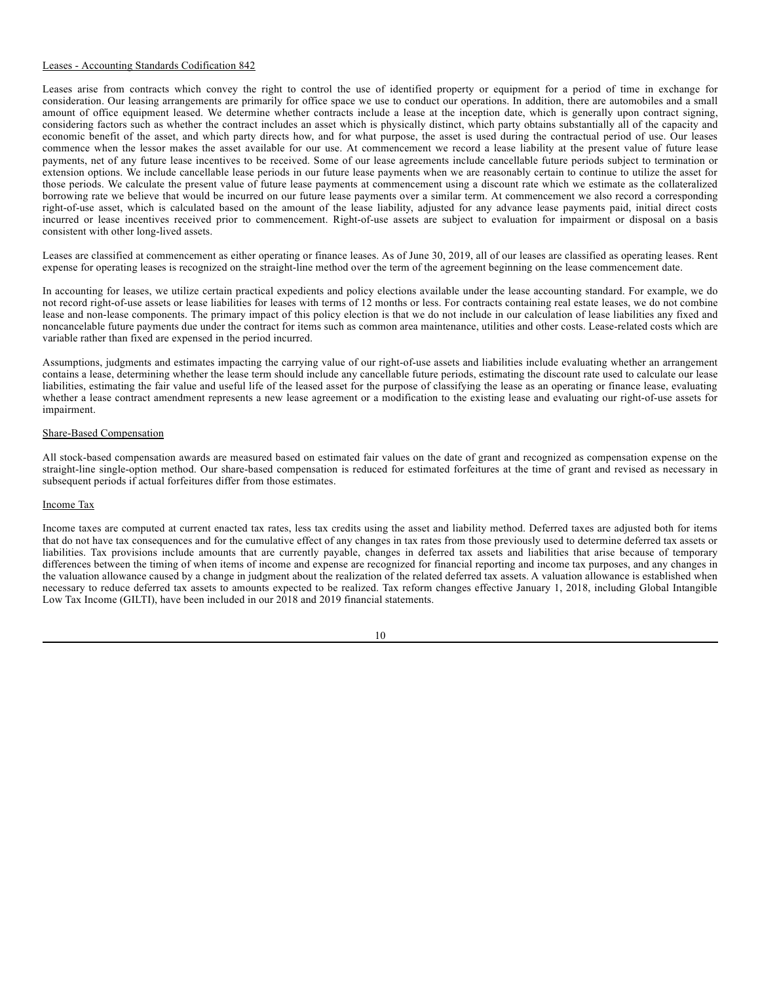#### Leases - Accounting Standards Codification 842

Leases arise from contracts which convey the right to control the use of identified property or equipment for a period of time in exchange for consideration. Our leasing arrangements are primarily for office space we use to conduct our operations. In addition, there are automobiles and a small amount of office equipment leased. We determine whether contracts include a lease at the inception date, which is generally upon contract signing, considering factors such as whether the contract includes an asset which is physically distinct, which party obtains substantially all of the capacity and economic benefit of the asset, and which party directs how, and for what purpose, the asset is used during the contractual period of use. Our leases commence when the lessor makes the asset available for our use. At commencement we record a lease liability at the present value of future lease payments, net of any future lease incentives to be received. Some of our lease agreements include cancellable future periods subject to termination or extension options. We include cancellable lease periods in our future lease payments when we are reasonably certain to continue to utilize the asset for those periods. We calculate the present value of future lease payments at commencement using a discount rate which we estimate as the collateralized borrowing rate we believe that would be incurred on our future lease payments over a similar term. At commencement we also record a corresponding right-of-use asset, which is calculated based on the amount of the lease liability, adjusted for any advance lease payments paid, initial direct costs incurred or lease incentives received prior to commencement. Right-of-use assets are subject to evaluation for impairment or disposal on a basis consistent with other long-lived assets.

Leases are classified at commencement as either operating or finance leases. As of June 30, 2019, all of our leases are classified as operating leases. Rent expense for operating leases is recognized on the straight-line method over the term of the agreement beginning on the lease commencement date.

In accounting for leases, we utilize certain practical expedients and policy elections available under the lease accounting standard. For example, we do not record right-of-use assets or lease liabilities for leases with terms of 12 months or less. For contracts containing real estate leases, we do not combine lease and non-lease components. The primary impact of this policy election is that we do not include in our calculation of lease liabilities any fixed and noncancelable future payments due under the contract for items such as common area maintenance, utilities and other costs. Lease-related costs which are variable rather than fixed are expensed in the period incurred.

Assumptions, judgments and estimates impacting the carrying value of our right-of-use assets and liabilities include evaluating whether an arrangement contains a lease, determining whether the lease term should include any cancellable future periods, estimating the discount rate used to calculate our lease liabilities, estimating the fair value and useful life of the leased asset for the purpose of classifying the lease as an operating or finance lease, evaluating whether a lease contract amendment represents a new lease agreement or a modification to the existing lease and evaluating our right-of-use assets for impairment.

#### Share-Based Compensation

All stock-based compensation awards are measured based on estimated fair values on the date of grant and recognized as compensation expense on the straight-line single-option method. Our share-based compensation is reduced for estimated forfeitures at the time of grant and revised as necessary in subsequent periods if actual forfeitures differ from those estimates.

#### Income Tax

Income taxes are computed at current enacted tax rates, less tax credits using the asset and liability method. Deferred taxes are adjusted both for items that do not have tax consequences and for the cumulative effect of any changes in tax rates from those previously used to determine deferred tax assets or liabilities. Tax provisions include amounts that are currently payable, changes in deferred tax assets and liabilities that arise because of temporary differences between the timing of when items of income and expense are recognized for financial reporting and income tax purposes, and any changes in the valuation allowance caused by a change in judgment about the realization of the related deferred tax assets. A valuation allowance is established when necessary to reduce deferred tax assets to amounts expected to be realized. Tax reform changes effective January 1, 2018, including Global Intangible Low Tax Income (GILTI), have been included in our 2018 and 2019 financial statements.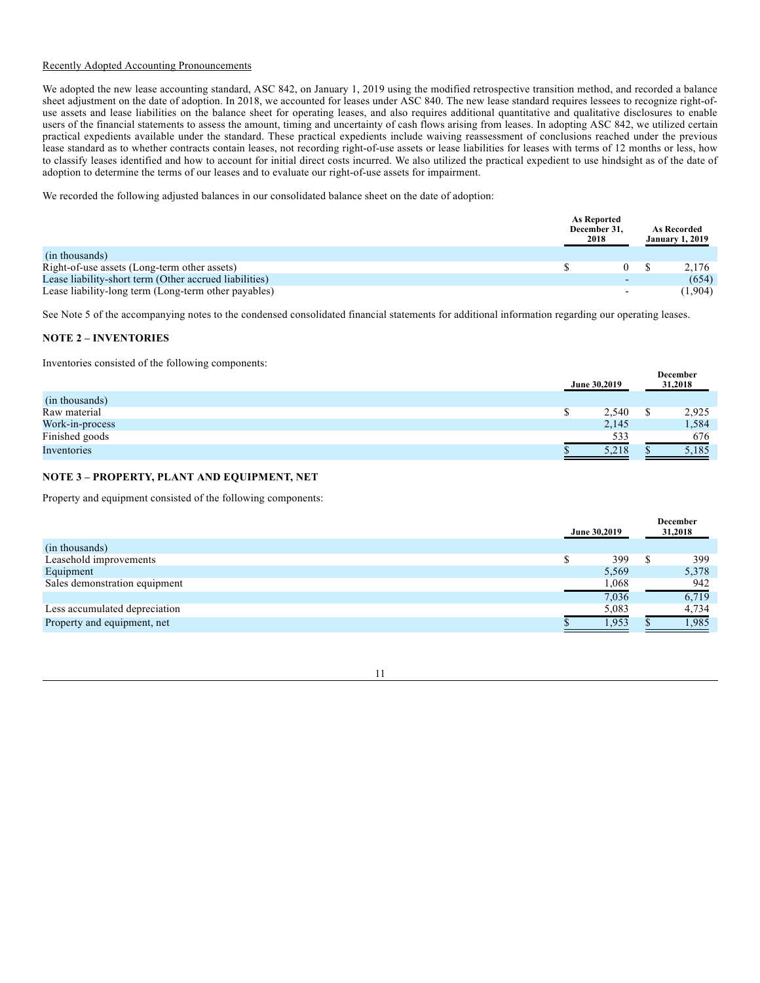#### Recently Adopted Accounting Pronouncements

We adopted the new lease accounting standard, ASC 842, on January 1, 2019 using the modified retrospective transition method, and recorded a balance sheet adjustment on the date of adoption. In 2018, we accounted for leases under ASC 840. The new lease standard requires lessees to recognize right-ofuse assets and lease liabilities on the balance sheet for operating leases, and also requires additional quantitative and qualitative disclosures to enable users of the financial statements to assess the amount, timing and uncertainty of cash flows arising from leases. In adopting ASC 842, we utilized certain practical expedients available under the standard. These practical expedients include waiving reassessment of conclusions reached under the previous lease standard as to whether contracts contain leases, not recording right-of-use assets or lease liabilities for leases with terms of 12 months or less, how to classify leases identified and how to account for initial direct costs incurred. We also utilized the practical expedient to use hindsight as of the date of adoption to determine the terms of our leases and to evaluate our right-of-use assets for impairment.

We recorded the following adjusted balances in our consolidated balance sheet on the date of adoption:

|                                                        | As Reported<br>December 31,<br>2018 |  |  | <b>As Recorded</b><br><b>January 1, 2019</b> |
|--------------------------------------------------------|-------------------------------------|--|--|----------------------------------------------|
| (in thousands)                                         |                                     |  |  |                                              |
| Right-of-use assets (Long-term other assets)           |                                     |  |  | 2.176                                        |
| Lease liability-short term (Other accrued liabilities) |                                     |  |  | (654)                                        |
| Lease liability-long term (Long-term other payables)   |                                     |  |  | (1.904)                                      |

See Note 5 of the accompanying notes to the condensed consolidated financial statements for additional information regarding our operating leases.

#### **NOTE 2 – INVENTORIES**

Inventories consisted of the following components:

|                 | June 30,2019 | December<br>31,2018 |
|-----------------|--------------|---------------------|
| (in thousands)  |              |                     |
| Raw material    | 2,540        | 2,925               |
| Work-in-process | 2,145        | 1,584               |
| Finished goods  | 533          | 676                 |
| Inventories     | 5,218        | 5,185               |

#### **NOTE 3 – PROPERTY, PLANT AND EQUIPMENT, NET**

Property and equipment consisted of the following components:

|                               | June 30,2019 | December<br>31,2018 |
|-------------------------------|--------------|---------------------|
| (in thousands)                |              |                     |
| Leasehold improvements        | 399          | 399                 |
| Equipment                     | 5,569        | 5,378               |
| Sales demonstration equipment | 1,068        | 942                 |
|                               | 7,036        | 6,719               |
| Less accumulated depreciation | 5,083        | 4,734               |
| Property and equipment, net   | 1,953        | 1,985               |

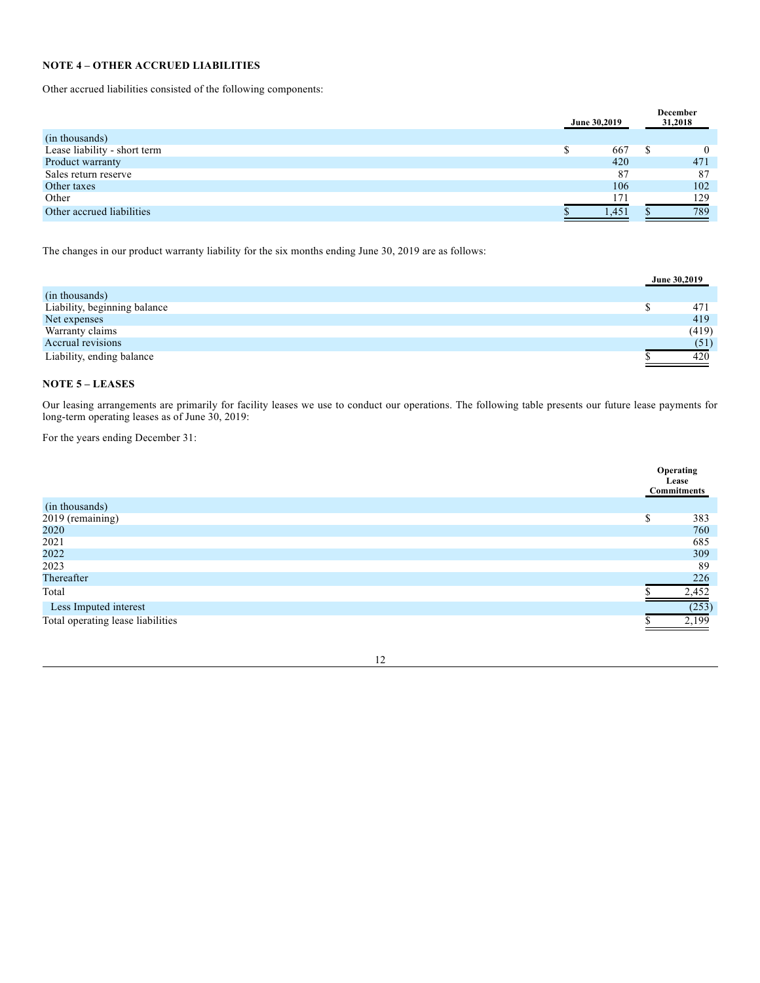# **NOTE 4 – OTHER ACCRUED LIABILITIES**

Other accrued liabilities consisted of the following components:

|                              | <b>June 30,2019</b> | December<br>31,2018 |
|------------------------------|---------------------|---------------------|
| (in thousands)               |                     |                     |
| Lease liability - short term | 667                 | $\theta$            |
| Product warranty             | 420                 | 471                 |
| Sales return reserve         | 87                  | 87                  |
| Other taxes                  | 106                 | 102                 |
| Other                        | 171                 | 129                 |
| Other accrued liabilities    | l.451               | 789                 |

The changes in our product warranty liability for the six months ending June 30, 2019 are as follows:

|                              | June 30,2019 |
|------------------------------|--------------|
| (in thousands)               |              |
| Liability, beginning balance | 47.          |
| Net expenses                 | 419          |
| Warranty claims              | (419)        |
| Accrual revisions            | (51)         |
| Liability, ending balance    | 420          |

### **NOTE 5 – LEASES**

Our leasing arrangements are primarily for facility leases we use to conduct our operations. The following table presents our future lease payments for long-term operating leases as of June 30, 2019:

For the years ending December 31:

|                                    | Operating<br>Lease<br><b>Commitments</b> |       |
|------------------------------------|------------------------------------------|-------|
|                                    |                                          |       |
| (in thousands)<br>2019 (remaining) |                                          | 383   |
| 2020                               |                                          | 760   |
| 2021                               |                                          | 685   |
| 2022                               |                                          | 309   |
| 2023                               |                                          | 89    |
| Thereafter                         |                                          | 226   |
| Total                              |                                          | 2,452 |
| Less Imputed interest              |                                          | (253) |
| Total operating lease liabilities  |                                          | 2,199 |

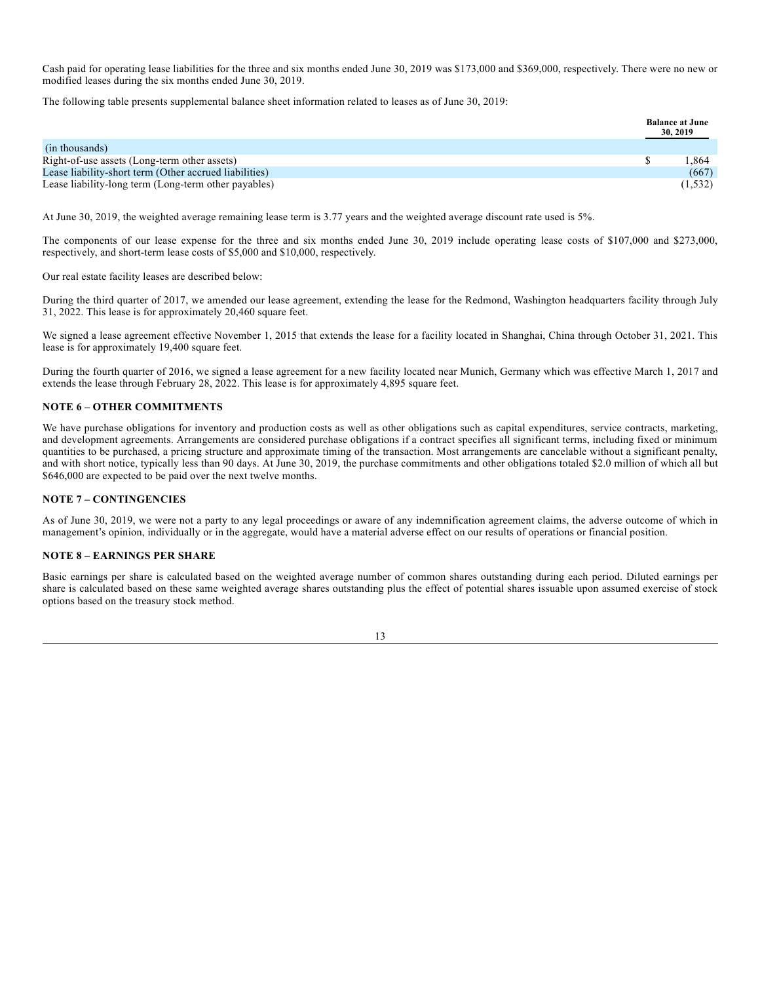Cash paid for operating lease liabilities for the three and six months ended June 30, 2019 was \$173,000 and \$369,000, respectively. There were no new or modified leases during the six months ended June 30, 2019.

The following table presents supplemental balance sheet information related to leases as of June 30, 2019:

|                                                        | <b>Balance at June</b><br>30, 2019 |          |
|--------------------------------------------------------|------------------------------------|----------|
| (in thousands)                                         |                                    |          |
| Right-of-use assets (Long-term other assets)           |                                    | .864     |
| Lease liability-short term (Other accrued liabilities) |                                    | (667)    |
| Lease liability-long term (Long-term other payables)   |                                    | (1, 532) |

At June 30, 2019, the weighted average remaining lease term is 3.77 years and the weighted average discount rate used is 5%.

The components of our lease expense for the three and six months ended June 30, 2019 include operating lease costs of \$107,000 and \$273,000, respectively, and short-term lease costs of \$5,000 and \$10,000, respectively.

Our real estate facility leases are described below:

During the third quarter of 2017, we amended our lease agreement, extending the lease for the Redmond, Washington headquarters facility through July 31, 2022. This lease is for approximately 20,460 square feet.

We signed a lease agreement effective November 1, 2015 that extends the lease for a facility located in Shanghai, China through October 31, 2021. This lease is for approximately 19,400 square feet.

During the fourth quarter of 2016, we signed a lease agreement for a new facility located near Munich, Germany which was effective March 1, 2017 and extends the lease through February 28, 2022. This lease is for approximately 4,895 square feet.

#### **NOTE 6 – OTHER COMMITMENTS**

We have purchase obligations for inventory and production costs as well as other obligations such as capital expenditures, service contracts, marketing, and development agreements. Arrangements are considered purchase obligations if a contract specifies all significant terms, including fixed or minimum quantities to be purchased, a pricing structure and approximate timing of the transaction. Most arrangements are cancelable without a significant penalty, and with short notice, typically less than 90 days. At June 30, 2019, the purchase commitments and other obligations totaled \$2.0 million of which all but \$646,000 are expected to be paid over the next twelve months.

#### **NOTE 7 – CONTINGENCIES**

As of June 30, 2019, we were not a party to any legal proceedings or aware of any indemnification agreement claims, the adverse outcome of which in management's opinion, individually or in the aggregate, would have a material adverse effect on our results of operations or financial position.

#### **NOTE 8 – EARNINGS PER SHARE**

Basic earnings per share is calculated based on the weighted average number of common shares outstanding during each period. Diluted earnings per share is calculated based on these same weighted average shares outstanding plus the effect of potential shares issuable upon assumed exercise of stock options based on the treasury stock method.

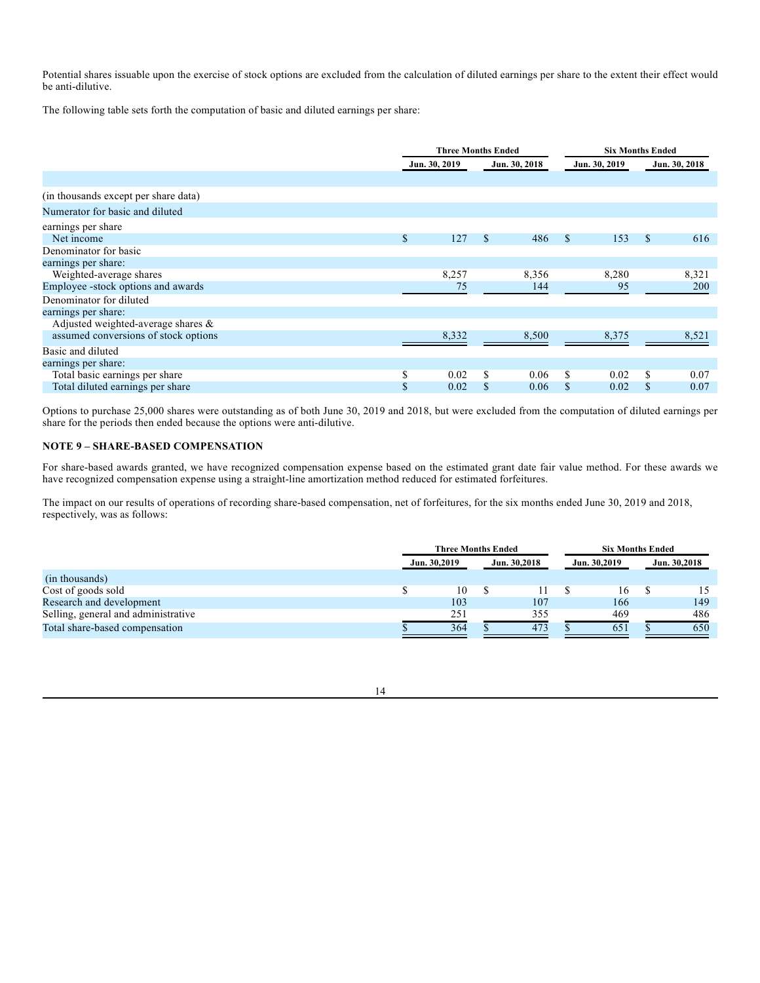Potential shares issuable upon the exercise of stock options are excluded from the calculation of diluted earnings per share to the extent their effect would be anti-dilutive.

The following table sets forth the computation of basic and diluted earnings per share:

|                                       | <b>Three Months Ended</b> |    |               |               | <b>Six Months Ended</b> |               |               |  |
|---------------------------------------|---------------------------|----|---------------|---------------|-------------------------|---------------|---------------|--|
|                                       | Jun. 30, 2019             |    | Jun. 30, 2018 |               | Jun. 30, 2019           |               | Jun. 30, 2018 |  |
|                                       |                           |    |               |               |                         |               |               |  |
| (in thousands except per share data)  |                           |    |               |               |                         |               |               |  |
| Numerator for basic and diluted       |                           |    |               |               |                         |               |               |  |
| earnings per share                    |                           |    |               |               |                         |               |               |  |
| Net income                            | \$<br>127                 | \$ | 486           | <sup>\$</sup> | 153                     | <sup>\$</sup> | 616           |  |
| Denominator for basic                 |                           |    |               |               |                         |               |               |  |
| earnings per share:                   |                           |    |               |               |                         |               |               |  |
| Weighted-average shares               | 8,257                     |    | 8,356         |               | 8,280                   |               | 8,321         |  |
| Employee -stock options and awards    | 75                        |    | 144           |               | 95                      |               | <b>200</b>    |  |
| Denominator for diluted               |                           |    |               |               |                         |               |               |  |
| earnings per share:                   |                           |    |               |               |                         |               |               |  |
| Adjusted weighted-average shares $\&$ |                           |    |               |               |                         |               |               |  |
| assumed conversions of stock options  | 8,332                     |    | 8,500         |               | 8,375                   |               | 8,521         |  |
| Basic and diluted                     |                           |    |               |               |                         |               |               |  |
| earnings per share:                   |                           |    |               |               |                         |               |               |  |
| Total basic earnings per share        | \$<br>0.02                | S  | 0.06          | S             | 0.02                    | S             | 0.07          |  |
| Total diluted earnings per share      | \$<br>0.02                | \$ | 0.06          | \$            | 0.02                    |               | 0.07          |  |

Options to purchase 25,000 shares were outstanding as of both June 30, 2019 and 2018, but were excluded from the computation of diluted earnings per share for the periods then ended because the options were anti-dilutive.

#### **NOTE 9 – SHARE-BASED COMPENSATION**

For share-based awards granted, we have recognized compensation expense based on the estimated grant date fair value method. For these awards we have recognized compensation expense using a straight-line amortization method reduced for estimated forfeitures.

The impact on our results of operations of recording share-based compensation, net of forfeitures, for the six months ended June 30, 2019 and 2018, respectively, was as follows:

|                                     | <b>Three Months Ended</b> |  |              |  | <b>Six Months Ended</b> |  |              |  |
|-------------------------------------|---------------------------|--|--------------|--|-------------------------|--|--------------|--|
|                                     | Jun. 30,2019              |  | Jun. 30.2018 |  | Jun. 30,2019            |  | Jun. 30,2018 |  |
| (in thousands)                      |                           |  |              |  |                         |  |              |  |
| Cost of goods sold                  | 10                        |  |              |  | Iб                      |  |              |  |
| Research and development            | 103                       |  | 107          |  | 166                     |  | 149          |  |
| Selling, general and administrative | 251                       |  | 355          |  | 469                     |  | 486          |  |
| Total share-based compensation      | 364                       |  | 473          |  | 651                     |  | 650          |  |

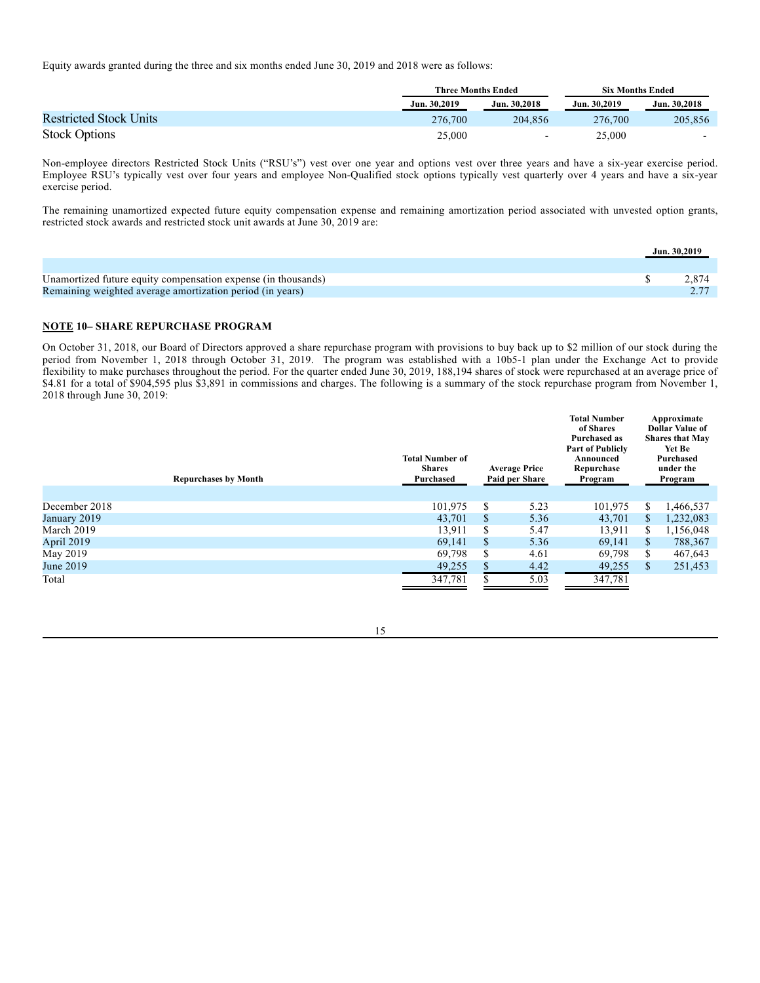Equity awards granted during the three and six months ended June 30, 2019 and 2018 were as follows:

|                               |              | <b>Three Months Ended</b> | <b>Six Months Ended</b> |                          |  |
|-------------------------------|--------------|---------------------------|-------------------------|--------------------------|--|
|                               | Jun. 30,2019 | Jun. 30,2018              | Jun. 30,2019            | Jun. 30,2018             |  |
| <b>Restricted Stock Units</b> | 276,700      | 204.856                   | 276,700                 | 205,856                  |  |
| <b>Stock Options</b>          | 25,000       | $\sim$                    | 25,000                  | $\overline{\phantom{a}}$ |  |

Non-employee directors Restricted Stock Units ("RSU's") vest over one year and options vest over three years and have a six-year exercise period. Employee RSU's typically vest over four years and employee Non-Qualified stock options typically vest quarterly over 4 years and have a six-year exercise period.

The remaining unamortized expected future equity compensation expense and remaining amortization period associated with unvested option grants, restricted stock awards and restricted stock unit awards at June 30, 2019 are:

|                                                               | Jun. 30.2019 |
|---------------------------------------------------------------|--------------|
|                                                               |              |
| Unamortized future equity compensation expense (in thousands) | 2.874        |
| Remaining weighted average amortization period (in years)     |              |

#### **NOTE 10– SHARE REPURCHASE PROGRAM**

On October 31, 2018, our Board of Directors approved a share repurchase program with provisions to buy back up to \$2 million of our stock during the period from November 1, 2018 through October 31, 2019. The program was established with a 10b5-1 plan under the Exchange Act to provide flexibility to make purchases throughout the period. For the quarter ended June 30, 2019, 188,194 shares of stock were repurchased at an average price of \$4.81 for a total of \$904,595 plus \$3,891 in commissions and charges. The following is a summary of the stock repurchase program from November 1, 2018 through June 30, 2019:

| <b>Repurchases by Month</b> | <b>Total Number of</b><br><b>Shares</b><br>Purchased | of Shares<br>Purchased as<br>Announced<br>Repurchase<br><b>Average Price</b><br>Paid per Share<br>Program |      | <b>Total Number</b><br><b>Part of Publicly</b> |    | Approximate<br><b>Dollar Value of</b><br><b>Shares that May</b><br>Yet Be<br>Purchased<br>under the<br>Program |
|-----------------------------|------------------------------------------------------|-----------------------------------------------------------------------------------------------------------|------|------------------------------------------------|----|----------------------------------------------------------------------------------------------------------------|
| December 2018               | 101.975                                              | \$                                                                                                        | 5.23 | 101,975                                        | S. |                                                                                                                |
|                             |                                                      | \$.                                                                                                       |      |                                                |    | 1,466,537                                                                                                      |
| January 2019                | 43,701                                               |                                                                                                           | 5.36 | 43,701                                         | S. | 1,232,083                                                                                                      |
| March 2019                  | 13,911                                               | S                                                                                                         | 5.47 | 13,911                                         | S. | 1,156,048                                                                                                      |
| April 2019                  | 69,141                                               | \$                                                                                                        | 5.36 | 69,141                                         | S  | 788,367                                                                                                        |
| May 2019                    | 69,798                                               | S                                                                                                         | 4.61 | 69.798                                         | S  | 467,643                                                                                                        |
| June 2019                   | 49,255                                               | \$                                                                                                        | 4.42 | 49,255                                         | S  | 251,453                                                                                                        |
| Total                       | 347,781                                              |                                                                                                           | 5.03 | 347,781                                        |    |                                                                                                                |

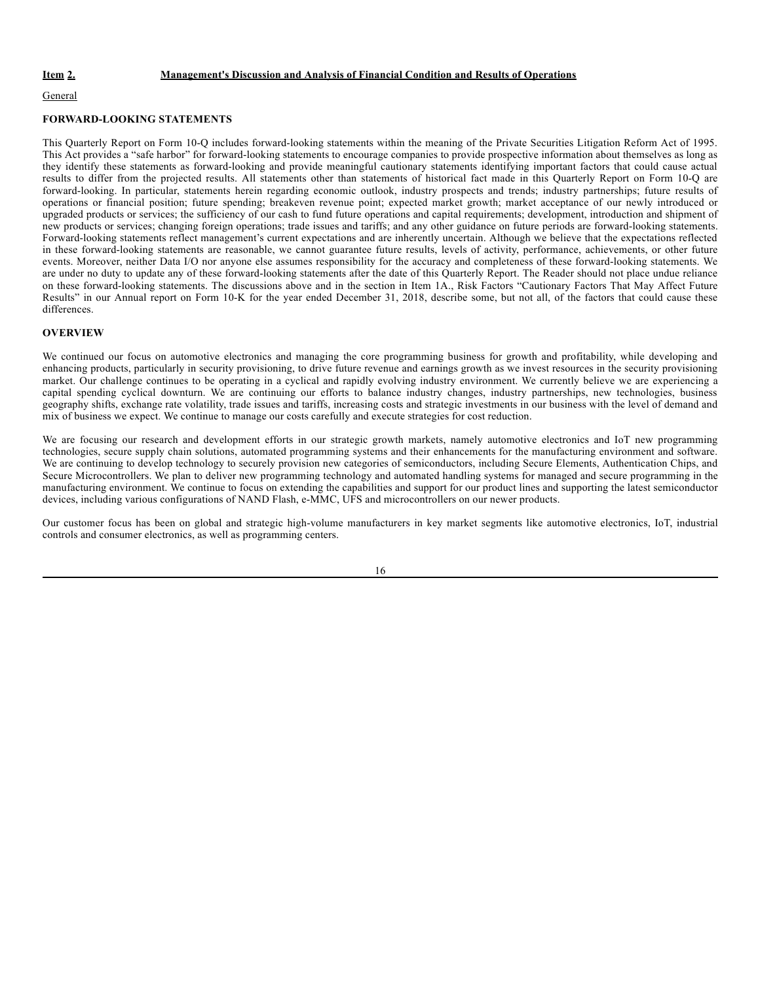#### <span id="page-15-0"></span>**Item 2. Management's Discussion and Analysis of Financial Condition and Results of Operations**

### General

#### **FORWARD-LOOKING STATEMENTS**

This Quarterly Report on Form 10-Q includes forward-looking statements within the meaning of the Private Securities Litigation Reform Act of 1995. This Act provides a "safe harbor" for forward-looking statements to encourage companies to provide prospective information about themselves as long as they identify these statements as forward-looking and provide meaningful cautionary statements identifying important factors that could cause actual results to differ from the projected results. All statements other than statements of historical fact made in this Quarterly Report on Form 10-Q are forward-looking. In particular, statements herein regarding economic outlook, industry prospects and trends; industry partnerships; future results of operations or financial position; future spending; breakeven revenue point; expected market growth; market acceptance of our newly introduced or upgraded products or services; the sufficiency of our cash to fund future operations and capital requirements; development, introduction and shipment of new products or services; changing foreign operations; trade issues and tariffs; and any other guidance on future periods are forward-looking statements. Forward-looking statements reflect management's current expectations and are inherently uncertain. Although we believe that the expectations reflected in these forward-looking statements are reasonable, we cannot guarantee future results, levels of activity, performance, achievements, or other future events. Moreover, neither Data I/O nor anyone else assumes responsibility for the accuracy and completeness of these forward-looking statements. We are under no duty to update any of these forward-looking statements after the date of this Quarterly Report. The Reader should not place undue reliance on these forward-looking statements. The discussions above and in the section in Item 1A., Risk Factors "Cautionary Factors That May Affect Future Results" in our Annual report on Form 10-K for the year ended December 31, 2018, describe some, but not all, of the factors that could cause these differences.

#### **OVERVIEW**

We continued our focus on automotive electronics and managing the core programming business for growth and profitability, while developing and enhancing products, particularly in security provisioning, to drive future revenue and earnings growth as we invest resources in the security provisioning market. Our challenge continues to be operating in a cyclical and rapidly evolving industry environment. We currently believe we are experiencing a capital spending cyclical downturn. We are continuing our efforts to balance industry changes, industry partnerships, new technologies, business geography shifts, exchange rate volatility, trade issues and tariffs, increasing costs and strategic investments in our business with the level of demand and mix of business we expect. We continue to manage our costs carefully and execute strategies for cost reduction.

We are focusing our research and development efforts in our strategic growth markets, namely automotive electronics and IoT new programming technologies, secure supply chain solutions, automated programming systems and their enhancements for the manufacturing environment and software. We are continuing to develop technology to securely provision new categories of semiconductors, including Secure Elements, Authentication Chips, and Secure Microcontrollers. We plan to deliver new programming technology and automated handling systems for managed and secure programming in the manufacturing environment. We continue to focus on extending the capabilities and support for our product lines and supporting the latest semiconductor devices, including various configurations of NAND Flash, e-MMC, UFS and microcontrollers on our newer products.

Our customer focus has been on global and strategic high-volume manufacturers in key market segments like automotive electronics, IoT, industrial controls and consumer electronics, as well as programming centers.

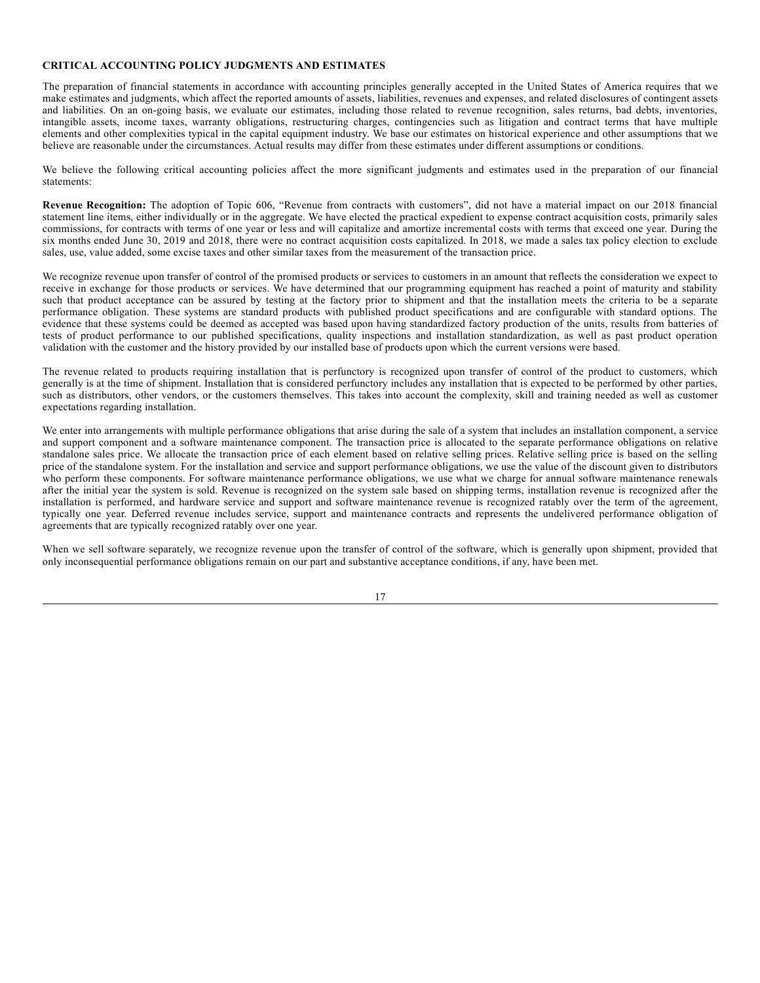#### **CRITICAL ACCOUNTING POLICY JUDGMENTS AND ESTIMATES**

The preparation of financial statements in accordance with accounting principles generally accepted in the United States of America requires that we make estimates and judgments, which affect the reported amounts of assets, liabilities, revenues and expenses, and related disclosures of contingent assets and liabilities. On an on-going basis, we evaluate our estimates, including those related to revenue recognition, sales returns, bad debts, inventories, intangible assets, income taxes, warranty obligations, restructuring charges, contingencies such as litigation and contract terms that have multiple elements and other complexities typical in the capital equipment industry. We base our estimates on historical experience and other assumptions that we believe are reasonable under the circumstances. Actual results may differ from these estimates under different assumptions or conditions.

We believe the following critical accounting policies affect the more significant judgments and estimates used in the preparation of our financial statements:

**Revenue Recognition:** The adoption of Topic 606, "Revenue from contracts with customers", did not have a material impact on our 2018 financial statement line items, either individually or in the aggregate. We have elected the practical expedient to expense contract acquisition costs, primarily sales commissions, for contracts with terms of one year or less and will capitalize and amortize incremental costs with terms that exceed one year. During the six months ended June 30, 2019 and 2018, there were no contract acquisition costs capitalized. In 2018, we made a sales tax policy election to exclude sales, use, value added, some excise taxes and other similar taxes from the measurement of the transaction price.

We recognize revenue upon transfer of control of the promised products or services to customers in an amount that reflects the consideration we expect to receive in exchange for those products or services. We have determined that our programming equipment has reached a point of maturity and stability such that product acceptance can be assured by testing at the factory prior to shipment and that the installation meets the criteria to be a separate performance obligation. These systems are standard products with published product specifications and are configurable with standard options. The evidence that these systems could be deemed as accepted was based upon having standardized factory production of the units, results from batteries of tests of product performance to our published specifications, quality inspections and installation standardization, as well as past product operation validation with the customer and the history provided by our installed base of products upon which the current versions were based.

The revenue related to products requiring installation that is perfunctory is recognized upon transfer of control of the product to customers, which generally is at the time of shipment. Installation that is considered perfunctory includes any installation that is expected to be performed by other parties, such as distributors, other vendors, or the customers themselves. This takes into account the complexity, skill and training needed as well as customer expectations regarding installation.

We enter into arrangements with multiple performance obligations that arise during the sale of a system that includes an installation component, a service and support component and a software maintenance component. The transaction price is allocated to the separate performance obligations on relative standalone sales price. We allocate the transaction price of each element based on relative selling prices. Relative selling price is based on the selling price of the standalone system. For the installation and service and support performance obligations, we use the value of the discount given to distributors who perform these components. For software maintenance performance obligations, we use what we charge for annual software maintenance renewals after the initial year the system is sold. Revenue is recognized on the system sale based on shipping terms, installation revenue is recognized after the installation is performed, and hardware service and support and software maintenance revenue is recognized ratably over the term of the agreement, typically one year. Deferred revenue includes service, support and maintenance contracts and represents the undelivered performance obligation of agreements that are typically recognized ratably over one year.

When we sell software separately, we recognize revenue upon the transfer of control of the software, which is generally upon shipment, provided that only inconsequential performance obligations remain on our part and substantive acceptance conditions, if any, have been met.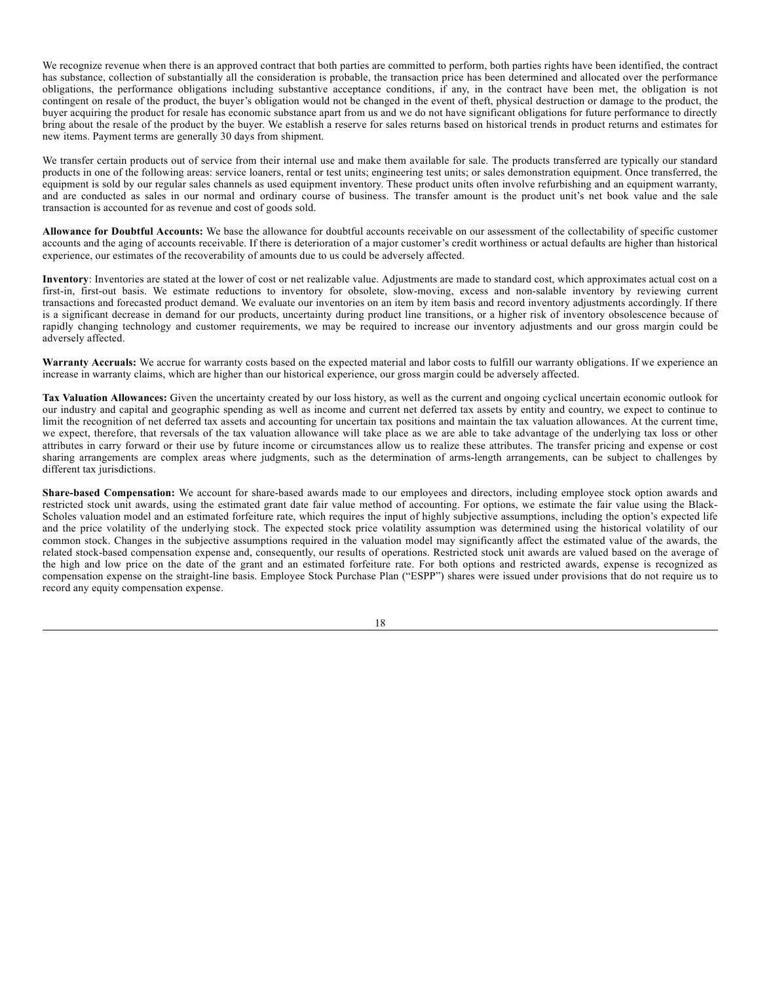We recognize revenue when there is an approved contract that both parties are committed to perform, both parties rights have been identified, the contract has substance, collection of substantially all the consideration is probable, the transaction price has been determined and allocated over the performance obligations, the performance obligations including substantive acceptance conditions, if any, in the contract have been met, the obligation is not contingent on resale of the product, the buyer's obligation would not be changed in the event of theft, physical destruction or damage to the product, the buyer acquiring the product for resale has economic substance apart from us and we do not have significant obligations for future performance to directly bring about the resale of the product by the buyer. We establish a reserve for sales returns based on historical trends in product returns and estimates for new items. Payment terms are generally 30 days from shipment.

We transfer certain products out of service from their internal use and make them available for sale. The products transferred are typically our standard products in one of the following areas: service loaners, rental or test units; engineering test units; or sales demonstration equipment. Once transferred, the equipment is sold by our regular sales channels as used equipment inventory. These product units often involve refurbishing and an equipment warranty, and are conducted as sales in our normal and ordinary course of business. The transfer amount is the product unit's net book value and the sale transaction is accounted for as revenue and cost of goods sold.

**Allowance for Doubtful Accounts:** We base the allowance for doubtful accounts receivable on our assessment of the collectability of specific customer accounts and the aging of accounts receivable. If there is deterioration of a major customer's credit worthiness or actual defaults are higher than historical experience, our estimates of the recoverability of amounts due to us could be adversely affected.

**Inventory**: Inventories are stated at the lower of cost or net realizable value. Adjustments are made to standard cost, which approximates actual cost on a first-in, first-out basis. We estimate reductions to inventory for obsolete, slow-moving, excess and non-salable inventory by reviewing current transactions and forecasted product demand. We evaluate our inventories on an item by item basis and record inventory adjustments accordingly. If there is a significant decrease in demand for our products, uncertainty during product line transitions, or a higher risk of inventory obsolescence because of rapidly changing technology and customer requirements, we may be required to increase our inventory adjustments and our gross margin could be adversely affected.

**Warranty Accruals:** We accrue for warranty costs based on the expected material and labor costs to fulfill our warranty obligations. If we experience an increase in warranty claims, which are higher than our historical experience, our gross margin could be adversely affected.

**Tax Valuation Allowances:** Given the uncertainty created by our loss history, as well as the current and ongoing cyclical uncertain economic outlook for our industry and capital and geographic spending as well as income and current net deferred tax assets by entity and country, we expect to continue to limit the recognition of net deferred tax assets and accounting for uncertain tax positions and maintain the tax valuation allowances. At the current time, we expect, therefore, that reversals of the tax valuation allowance will take place as we are able to take advantage of the underlying tax loss or other attributes in carry forward or their use by future income or circumstances allow us to realize these attributes. The transfer pricing and expense or cost sharing arrangements are complex areas where judgments, such as the determination of arms-length arrangements, can be subject to challenges by different tax jurisdictions.

**Share-based Compensation:** We account for share-based awards made to our employees and directors, including employee stock option awards and restricted stock unit awards, using the estimated grant date fair value method of accounting. For options, we estimate the fair value using the Black-Scholes valuation model and an estimated forfeiture rate, which requires the input of highly subjective assumptions, including the option's expected life and the price volatility of the underlying stock. The expected stock price volatility assumption was determined using the historical volatility of our common stock. Changes in the subjective assumptions required in the valuation model may significantly affect the estimated value of the awards, the related stock-based compensation expense and, consequently, our results of operations. Restricted stock unit awards are valued based on the average of the high and low price on the date of the grant and an estimated forfeiture rate. For both options and restricted awards, expense is recognized as compensation expense on the straight-line basis. Employee Stock Purchase Plan ("ESPP") shares were issued under provisions that do not require us to record any equity compensation expense.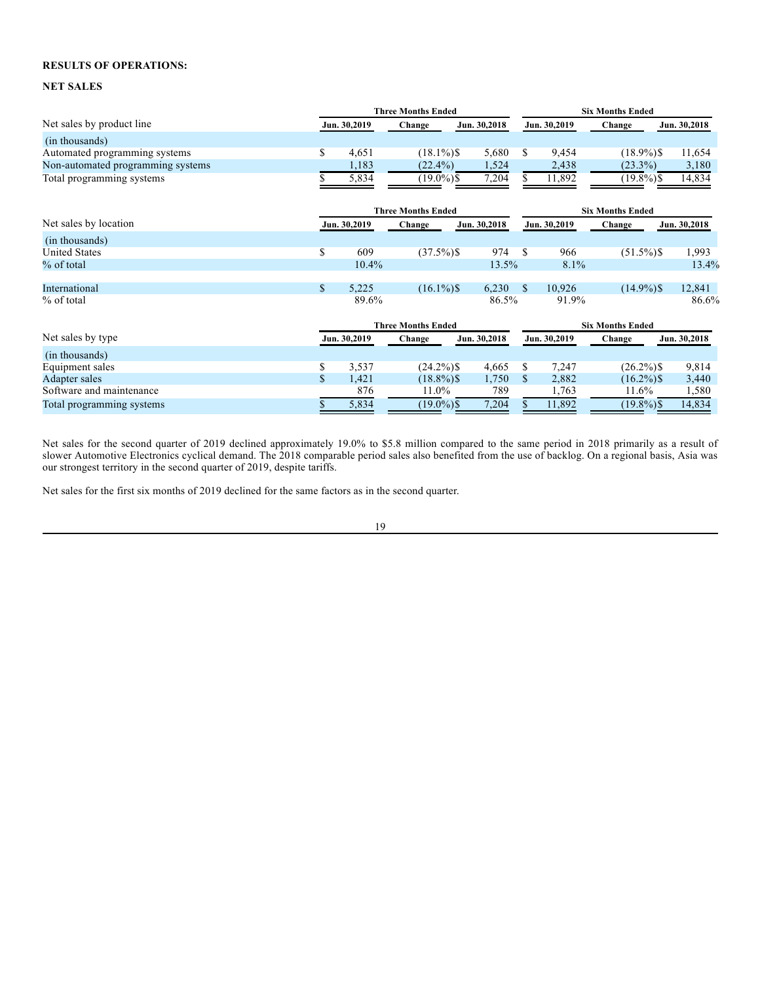### **RESULTS OF OPERATIONS:**

#### **NET SALES**

|                                   |    |                           | <b>Three Months Ended</b> |              | <b>Six Months Ended</b> |              |                         |              |  |  |
|-----------------------------------|----|---------------------------|---------------------------|--------------|-------------------------|--------------|-------------------------|--------------|--|--|
| Net sales by product line         |    | Jun. 30,2019              | Change                    | Jun. 30,2018 |                         | Jun. 30,2019 | Change                  | Jun. 30,2018 |  |  |
| (in thousands)                    |    |                           |                           |              |                         |              |                         |              |  |  |
| Automated programming systems     | \$ | 4,651                     | $(18.1\%)$ \$             | 5,680        |                         | 9,454        | $(18.9\%)$ \$           | 11,654       |  |  |
| Non-automated programming systems |    | 1,183                     | $(22.4\%)$                | 1,524        |                         | 2,438        | $(23.3\%)$              | 3,180        |  |  |
| Total programming systems         |    | 5,834                     | $(19.0\%)$ \$             | 7,204        |                         | 11,892       | $(19.8\%)$ \$           | 14,834       |  |  |
|                                   |    | <b>Three Months Ended</b> |                           |              |                         |              | <b>Six Months Ended</b> |              |  |  |
| Net sales by location             |    | Jun. 30,2019              | Change                    | Jun. 30,2018 |                         | Jun. 30,2019 | Change                  | Jun. 30,2018 |  |  |
| (in thousands)                    |    |                           |                           |              |                         |              |                         |              |  |  |
| <b>United States</b>              | \$ | 609                       | $(37.5\%)$ \$             | 974          |                         | 966          | $(51.5\%)$ \$           | 1,993        |  |  |
| % of total                        |    | $10.4\%$                  |                           | 13.5%        |                         | 8.1%         |                         | 13.4%        |  |  |

| International | 5.225 | $(16.1\%)$ \$ | 6,230 | 10,926 | $(14.9\%)$ \$ | 12.841 |
|---------------|-------|---------------|-------|--------|---------------|--------|
| % of total    | 89.6% |               | 86.5% | 91.9%  |               | 86.6%  |

|                           | <b>Three Months Ended</b> |              |               |              |  | <b>Six Months Ended</b> |               |              |  |  |  |
|---------------------------|---------------------------|--------------|---------------|--------------|--|-------------------------|---------------|--------------|--|--|--|
| Net sales by type         |                           | Jun. 30,2019 | Change        | Jun. 30.2018 |  | Jun. 30,2019            | hange.        | Jun. 30,2018 |  |  |  |
| (in thousands)            |                           |              |               |              |  |                         |               |              |  |  |  |
| Equipment sales           |                           | 3,537        | $(24.2\%)$ \$ | 4.665        |  | 7,247                   | $(26.2\%)\$   | 9,814        |  |  |  |
| Adapter sales             |                           | .421         | $(18.8\%)$ \$ | 1,750        |  | 2,882                   | $(16.2\%)\$   | 3,440        |  |  |  |
| Software and maintenance  |                           | 876          | 11.0%         | 789          |  | .763                    | 11.6%         | 1,580        |  |  |  |
| Total programming systems |                           | 5,834        | $(19.0\%)\$   | 7,204        |  | 1,892                   | $(19.8\%)$ \$ | 14,834       |  |  |  |

Net sales for the second quarter of 2019 declined approximately 19.0% to \$5.8 million compared to the same period in 2018 primarily as a result of slower Automotive Electronics cyclical demand. The 2018 comparable period sales also benefited from the use of backlog. On a regional basis, Asia was our strongest territory in the second quarter of 2019, despite tariffs.

Net sales for the first six months of 2019 declined for the same factors as in the second quarter.

19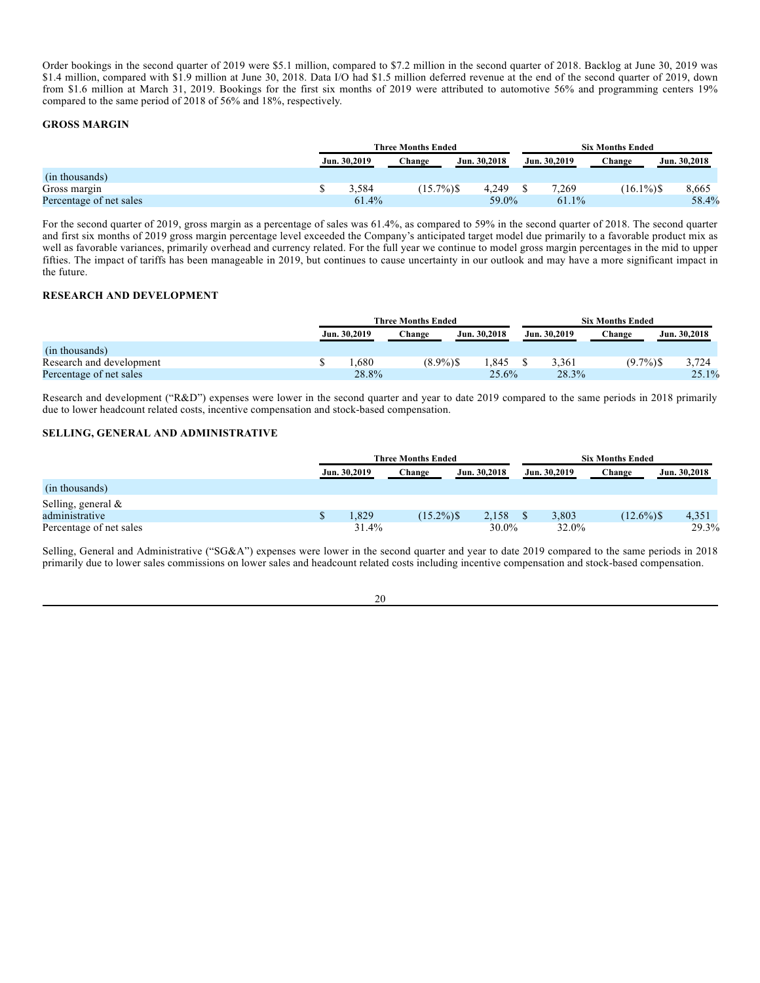Order bookings in the second quarter of 2019 were \$5.1 million, compared to \$7.2 million in the second quarter of 2018. Backlog at June 30, 2019 was \$1.4 million, compared with \$1.9 million at June 30, 2018. Data I/O had \$1.5 million deferred revenue at the end of the second quarter of 2019, down from \$1.6 million at March 31, 2019. Bookings for the first six months of 2019 were attributed to automotive 56% and programming centers 19% compared to the same period of 2018 of 56% and 18%, respectively.

#### **GROSS MARGIN**

|                         |              | <b>Three Months Ended</b> |              |              | <b>Six Months Ended</b> |               |              |  |  |
|-------------------------|--------------|---------------------------|--------------|--------------|-------------------------|---------------|--------------|--|--|
|                         | Jun. 30,2019 | Change                    | Jun. 30.2018 | Jun. 30,2019 |                         | Change        | Jun. 30,2018 |  |  |
| (in thousands)          |              |                           |              |              |                         |               |              |  |  |
| Gross margin            | 584ء ر       | $(15.7\%)$ \$             | 4.249        |              | 7,269                   | $(16.1\%)$ \$ | 8,665        |  |  |
| Percentage of net sales | 61.4%        |                           | 59.0%        |              | 61.1%                   |               | 58.4%        |  |  |

For the second quarter of 2019, gross margin as a percentage of sales was 61.4%, as compared to 59% in the second quarter of 2018. The second quarter and first six months of 2019 gross margin percentage level exceeded the Company's anticipated target model due primarily to a favorable product mix as well as favorable variances, primarily overhead and currency related. For the full year we continue to model gross margin percentages in the mid to upper fifties. The impact of tariffs has been manageable in 2019, but continues to cause uncertainty in our outlook and may have a more significant impact in the future.

#### **RESEARCH AND DEVELOPMENT**

|                          |              | Three Months Ended |              | <b>Six Months Ended</b> |       |               |              |  |
|--------------------------|--------------|--------------------|--------------|-------------------------|-------|---------------|--------------|--|
|                          | Jun. 30,2019 | Change             | Jun. 30,2018 | Jun. 30,2019            |       | <b>Change</b> | Jun. 30.2018 |  |
| (in thousands)           |              |                    |              |                         |       |               |              |  |
| Research and development | .680         | $(8.9\%)$ \$       | .845         |                         | 3,361 | $(9.7\%)$ \$  | 3.724        |  |
| Percentage of net sales  | 28.8%        |                    | $25.6\%$     |                         | 28.3% |               | 25.1%        |  |

Research and development ("R&D") expenses were lower in the second quarter and year to date 2019 compared to the same periods in 2018 primarily due to lower headcount related costs, incentive compensation and stock-based compensation.

#### **SELLING, GENERAL AND ADMINISTRATIVE**

|                         | <b>Three Months Ended</b> |               |              |              | <b>Six Months Ended</b> |              |  |  |  |  |
|-------------------------|---------------------------|---------------|--------------|--------------|-------------------------|--------------|--|--|--|--|
|                         | Jun. 30,2019              | Change        | Jun. 30,2018 | Jun. 30.2019 | Change                  | Jun. 30,2018 |  |  |  |  |
| (in thousands)          |                           |               |              |              |                         |              |  |  |  |  |
| Selling, general $\&$   |                           |               |              |              |                         |              |  |  |  |  |
| administrative          | .829                      | $(15.2\%)$ \$ | 2,158        | 3,803        | $(12.6\%)\$             | 4,351        |  |  |  |  |
| Percentage of net sales | 31.4%                     |               | 30.0%        |              | 32.0%                   | 29.3%        |  |  |  |  |

Selling, General and Administrative ("SG&A") expenses were lower in the second quarter and year to date 2019 compared to the same periods in 2018 primarily due to lower sales commissions on lower sales and headcount related costs including incentive compensation and stock-based compensation.

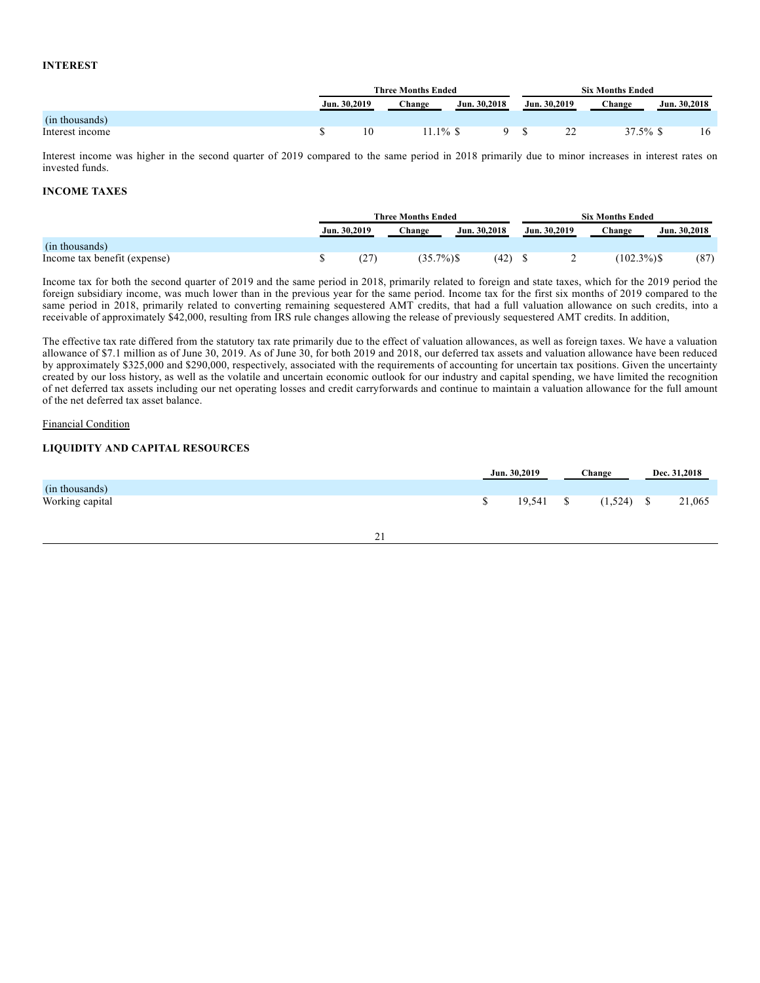#### **INTEREST**

|                 | <b>Three Months Ended</b> |  |          |              |              | <b>Six Months Ended</b> |             |              |  |  |  |
|-----------------|---------------------------|--|----------|--------------|--------------|-------------------------|-------------|--------------|--|--|--|
|                 | Jun. 30,2019              |  | Change   | Jun. 30,2018 | Jun. 30,2019 |                         | Change      | Jun. 30,2018 |  |  |  |
| (in thousands)  |                           |  |          |              |              |                         |             |              |  |  |  |
| Interest income |                           |  | 11.1% \$ |              |              | ∸                       | $37.5\%$ \$ | 16           |  |  |  |

Interest income was higher in the second quarter of 2019 compared to the same period in 2018 primarily due to minor increases in interest rates on invested funds.

#### **INCOME TAXES**

|                              | <b>Three Months Ended</b> |               |              |  | <b>Six Months Ended</b> |                |              |  |  |  |
|------------------------------|---------------------------|---------------|--------------|--|-------------------------|----------------|--------------|--|--|--|
|                              | Jun. 30,2019              | Change        | Jun. 30.2018 |  | Jun. 30,2019            | Change         | Jun. 30,2018 |  |  |  |
| (in thousands)               |                           |               |              |  |                         |                |              |  |  |  |
| Income tax benefit (expense) | (27)                      | $(35.7\%)$ \$ | (42)         |  |                         | $(102.3\%)$ \$ | (87)         |  |  |  |

Income tax for both the second quarter of 2019 and the same period in 2018, primarily related to foreign and state taxes, which for the 2019 period the foreign subsidiary income, was much lower than in the previous year for the same period. Income tax for the first six months of 2019 compared to the same period in 2018, primarily related to converting remaining sequestered AMT credits, that had a full valuation allowance on such credits, into a receivable of approximately \$42,000, resulting from IRS rule changes allowing the release of previously sequestered AMT credits. In addition,

The effective tax rate differed from the statutory tax rate primarily due to the effect of valuation allowances, as well as foreign taxes. We have a valuation allowance of \$7.1 million as of June 30, 2019. As of June 30, for both 2019 and 2018, our deferred tax assets and valuation allowance have been reduced by approximately \$325,000 and \$290,000, respectively, associated with the requirements of accounting for uncertain tax positions. Given the uncertainty created by our loss history, as well as the volatile and uncertain economic outlook for our industry and capital spending, we have limited the recognition of net deferred tax assets including our net operating losses and credit carryforwards and continue to maintain a valuation allowance for the full amount of the net deferred tax asset balance.

#### Financial Condition

#### **LIQUIDITY AND CAPITAL RESOURCES**

|                 | Jun. 30,2019 | Change  |              | Dec. 31,2018 |
|-----------------|--------------|---------|--------------|--------------|
| (in thousands)  |              |         |              |              |
| Working capital | 19,541 \$    | (1,524) | <sup>S</sup> | 21,065       |
|                 |              |         |              |              |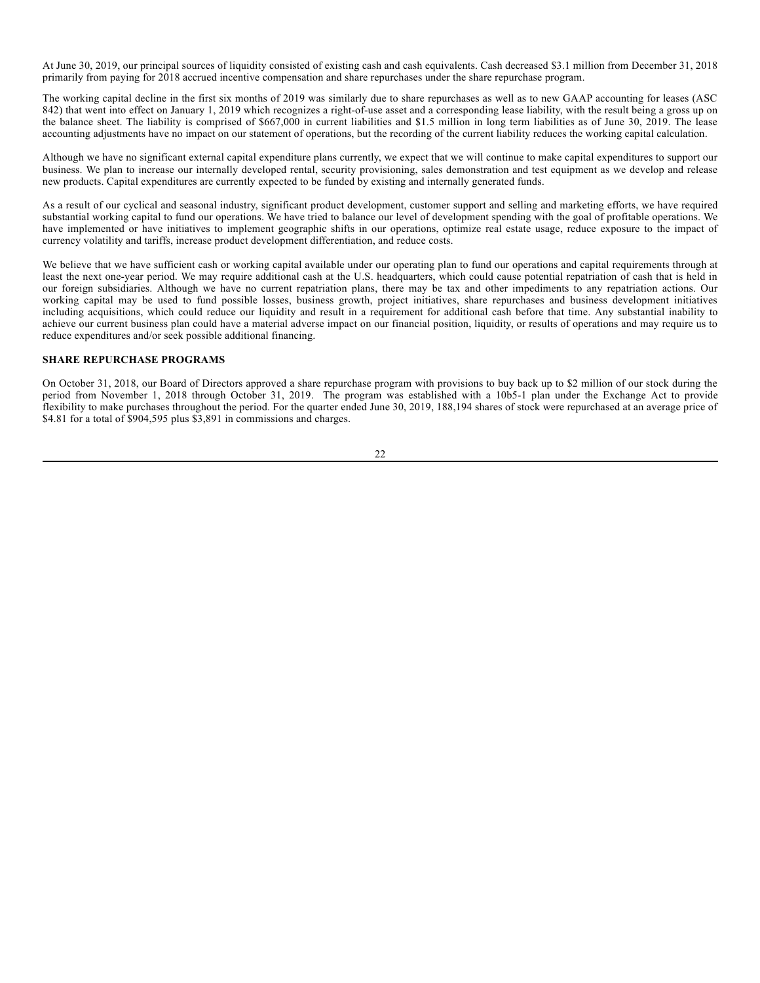At June 30, 2019, our principal sources of liquidity consisted of existing cash and cash equivalents. Cash decreased \$3.1 million from December 31, 2018 primarily from paying for 2018 accrued incentive compensation and share repurchases under the share repurchase program.

The working capital decline in the first six months of 2019 was similarly due to share repurchases as well as to new GAAP accounting for leases (ASC 842) that went into effect on January 1, 2019 which recognizes a right-of-use asset and a corresponding lease liability, with the result being a gross up on the balance sheet. The liability is comprised of \$667,000 in current liabilities and \$1.5 million in long term liabilities as of June 30, 2019. The lease accounting adjustments have no impact on our statement of operations, but the recording of the current liability reduces the working capital calculation.

Although we have no significant external capital expenditure plans currently, we expect that we will continue to make capital expenditures to support our business. We plan to increase our internally developed rental, security provisioning, sales demonstration and test equipment as we develop and release new products. Capital expenditures are currently expected to be funded by existing and internally generated funds.

As a result of our cyclical and seasonal industry, significant product development, customer support and selling and marketing efforts, we have required substantial working capital to fund our operations. We have tried to balance our level of development spending with the goal of profitable operations. We have implemented or have initiatives to implement geographic shifts in our operations, optimize real estate usage, reduce exposure to the impact of currency volatility and tariffs, increase product development differentiation, and reduce costs.

We believe that we have sufficient cash or working capital available under our operating plan to fund our operations and capital requirements through at least the next one-year period. We may require additional cash at the U.S. headquarters, which could cause potential repatriation of cash that is held in our foreign subsidiaries. Although we have no current repatriation plans, there may be tax and other impediments to any repatriation actions. Our working capital may be used to fund possible losses, business growth, project initiatives, share repurchases and business development initiatives including acquisitions, which could reduce our liquidity and result in a requirement for additional cash before that time. Any substantial inability to achieve our current business plan could have a material adverse impact on our financial position, liquidity, or results of operations and may require us to reduce expenditures and/or seek possible additional financing.

#### **SHARE REPURCHASE PROGRAMS**

On October 31, 2018, our Board of Directors approved a share repurchase program with provisions to buy back up to \$2 million of our stock during the period from November 1, 2018 through October 31, 2019. The program was established with a 10b5-1 plan under the Exchange Act to provide flexibility to make purchases throughout the period. For the quarter ended June 30, 2019, 188,194 shares of stock were repurchased at an average price of \$4.81 for a total of \$904,595 plus \$3,891 in commissions and charges.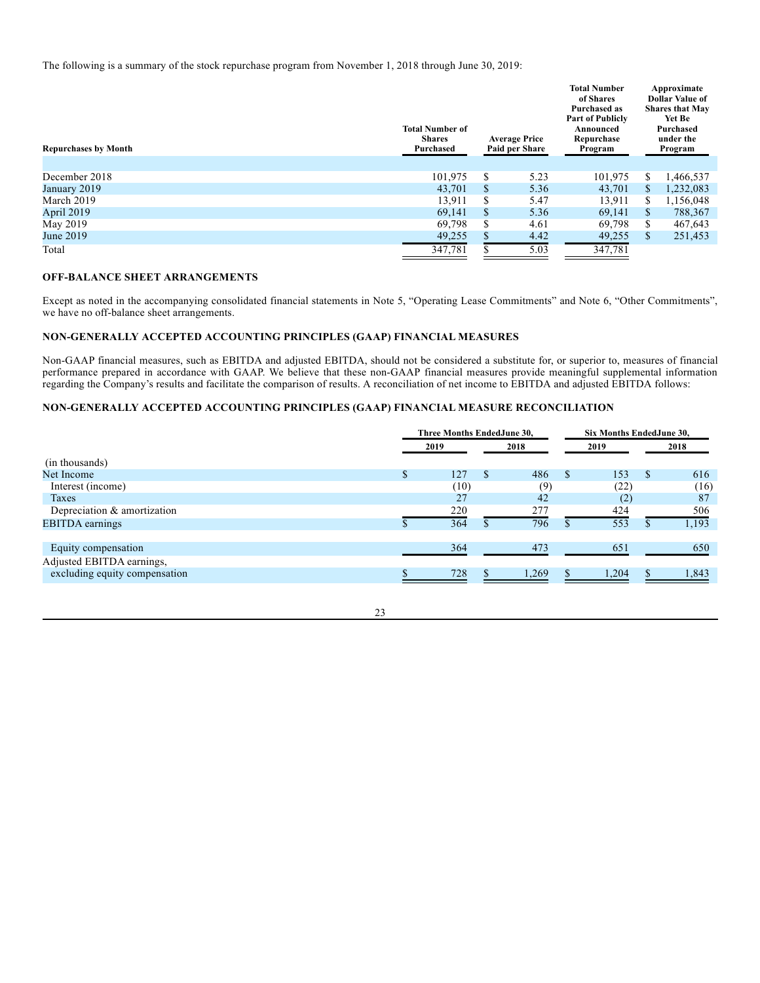The following is a summary of the stock repurchase program from November 1, 2018 through June 30, 2019:

| <b>Repurchases by Month</b> | <b>Total Number of</b><br><b>Shares</b><br>Purchased |               | <b>Average Price</b><br>Paid per Share | <b>Total Number</b><br>of Shares<br><b>Purchased as</b><br><b>Part of Publicly</b><br>Announced<br>Repurchase<br>Program |    | Approximate<br>Dollar Value of<br><b>Shares that May</b><br>Yet Be<br>Purchased<br>under the<br>Program |
|-----------------------------|------------------------------------------------------|---------------|----------------------------------------|--------------------------------------------------------------------------------------------------------------------------|----|---------------------------------------------------------------------------------------------------------|
| December 2018               | 101,975                                              | \$            | 5.23                                   | 101,975                                                                                                                  | S. | 1,466,537                                                                                               |
| January 2019                | 43,701                                               | \$.           | 5.36                                   | 43,701                                                                                                                   | S. | 1,232,083                                                                                               |
| March 2019                  | 13,911                                               | S             | 5.47                                   | 13,911                                                                                                                   | S. | 1,156,048                                                                                               |
| April 2019                  | 69,141                                               | <sup>\$</sup> | 5.36                                   | 69,141                                                                                                                   | \$ | 788,367                                                                                                 |
| May 2019                    | 69,798                                               | S             | 4.61                                   | 69,798                                                                                                                   | S. | 467,643                                                                                                 |
| June 2019                   | 49,255                                               | S             | 4.42                                   | 49,255                                                                                                                   | S  | 251,453                                                                                                 |
| Total                       | 347,781                                              |               | 5.03                                   | 347,781                                                                                                                  |    |                                                                                                         |

#### **OFF-BALANCE SHEET ARRANGEMENTS**

Except as noted in the accompanying consolidated financial statements in Note 5, "Operating Lease Commitments" and Note 6, "Other Commitments", we have no off-balance sheet arrangements.

# **NON-GENERALLY ACCEPTED ACCOUNTING PRINCIPLES (GAAP) FINANCIAL MEASURES**

Non-GAAP financial measures, such as EBITDA and adjusted EBITDA, should not be considered a substitute for, or superior to, measures of financial performance prepared in accordance with GAAP. We believe that these non-GAAP financial measures provide meaningful supplemental information regarding the Company's results and facilitate the comparison of results. A reconciliation of net income to EBITDA and adjusted EBITDA follows:

# **NON-GENERALLY ACCEPTED ACCOUNTING PRINCIPLES (GAAP) FINANCIAL MEASURE RECONCILIATION**

|                               | Three Months EndedJune 30. |      |      |       |      | Six Months EndedJune 30, |   |       |  |
|-------------------------------|----------------------------|------|------|-------|------|--------------------------|---|-------|--|
|                               | 2019                       |      | 2018 |       | 2019 |                          |   | 2018  |  |
| (in thousands)                |                            |      |      |       |      |                          |   |       |  |
| Net Income                    | \$                         | 127  | S    | 486   | S    | 153                      | S | 616   |  |
| Interest (income)             |                            | (10) |      | (9)   |      | (22)                     |   | (16)  |  |
| Taxes                         |                            | 27   |      | 42    |      | (2)                      |   | 87    |  |
| Depreciation & amortization   |                            | 220  |      | 277   |      | 424                      |   | 506   |  |
| <b>EBITDA</b> earnings        |                            | 364  |      | 796   |      | 553                      |   | 1,193 |  |
| Equity compensation           |                            | 364  |      | 473   |      | 651                      |   | 650   |  |
|                               |                            |      |      |       |      |                          |   |       |  |
| Adjusted EBITDA earnings,     |                            |      |      |       |      |                          |   |       |  |
| excluding equity compensation |                            | 728  |      | 1,269 |      | 1,204                    |   | 1,843 |  |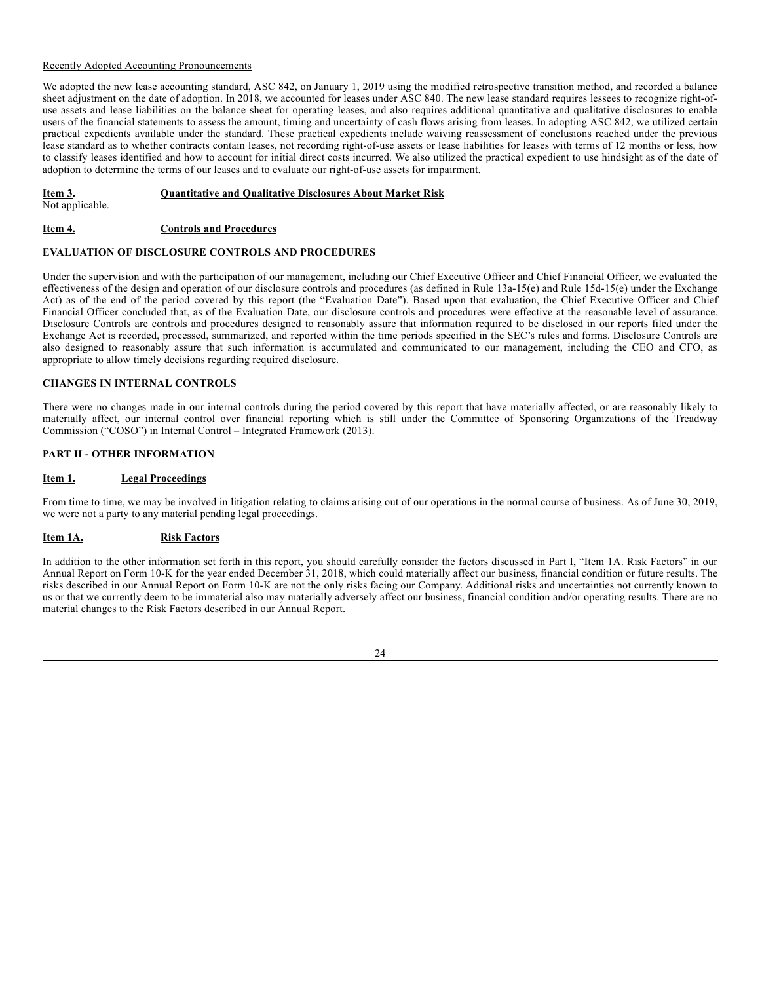#### Recently Adopted Accounting Pronouncements

We adopted the new lease accounting standard, ASC 842, on January 1, 2019 using the modified retrospective transition method, and recorded a balance sheet adjustment on the date of adoption. In 2018, we accounted for leases under ASC 840. The new lease standard requires lessees to recognize right-ofuse assets and lease liabilities on the balance sheet for operating leases, and also requires additional quantitative and qualitative disclosures to enable users of the financial statements to assess the amount, timing and uncertainty of cash flows arising from leases. In adopting ASC 842, we utilized certain practical expedients available under the standard. These practical expedients include waiving reassessment of conclusions reached under the previous lease standard as to whether contracts contain leases, not recording right-of-use assets or lease liabilities for leases with terms of 12 months or less, how to classify leases identified and how to account for initial direct costs incurred. We also utilized the practical expedient to use hindsight as of the date of adoption to determine the terms of our leases and to evaluate our right-of-use assets for impairment.

#### **Item 3. Quantitative and Qualitative Disclosures About Market Risk**

Not applicable.

<span id="page-23-1"></span><span id="page-23-0"></span>

#### **Item 4. Controls and Procedures**

#### **EVALUATION OF DISCLOSURE CONTROLS AND PROCEDURES**

Under the supervision and with the participation of our management, including our Chief Executive Officer and Chief Financial Officer, we evaluated the effectiveness of the design and operation of our disclosure controls and procedures (as defined in Rule 13a-15(e) and Rule 15d-15(e) under the Exchange Act) as of the end of the period covered by this report (the "Evaluation Date"). Based upon that evaluation, the Chief Executive Officer and Chief Financial Officer concluded that, as of the Evaluation Date, our disclosure controls and procedures were effective at the reasonable level of assurance. Disclosure Controls are controls and procedures designed to reasonably assure that information required to be disclosed in our reports filed under the Exchange Act is recorded, processed, summarized, and reported within the time periods specified in the SEC's rules and forms. Disclosure Controls are also designed to reasonably assure that such information is accumulated and communicated to our management, including the CEO and CFO, as appropriate to allow timely decisions regarding required disclosure.

#### **CHANGES IN INTERNAL CONTROLS**

There were no changes made in our internal controls during the period covered by this report that have materially affected, or are reasonably likely to materially affect, our internal control over financial reporting which is still under the Committee of Sponsoring Organizations of the Treadway Commission ("COSO") in Internal Control – Integrated Framework (2013).

#### **PART II - OTHER INFORMATION**

#### <span id="page-23-2"></span>**Item 1. Legal Proceedings**

From time to time, we may be involved in litigation relating to claims arising out of our operations in the normal course of business. As of June 30, 2019, we were not a party to any material pending legal proceedings.

#### <span id="page-23-3"></span>**Item 1A. Risk Factors**

In addition to the other information set forth in this report, you should carefully consider the factors discussed in Part I, "Item 1A. Risk Factors" in our Annual Report on Form 10-K for the year ended December 31, 2018, which could materially affect our business, financial condition or future results. The risks described in our Annual Report on Form 10-K are not the only risks facing our Company. Additional risks and uncertainties not currently known to us or that we currently deem to be immaterial also may materially adversely affect our business, financial condition and/or operating results. There are no material changes to the Risk Factors described in our Annual Report.

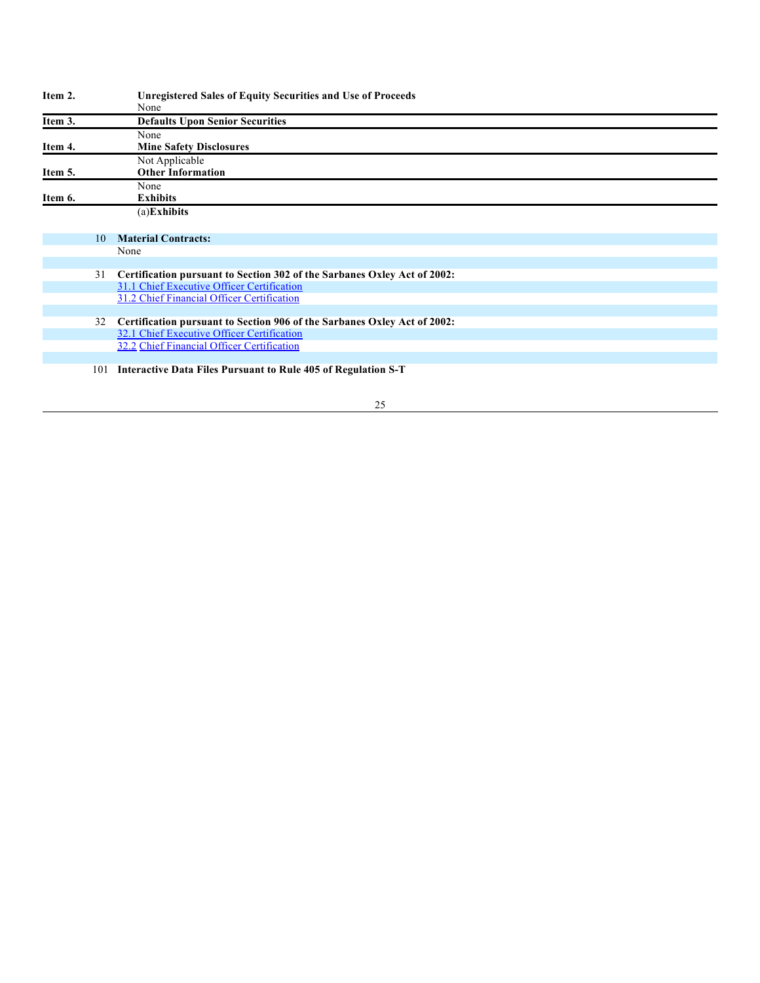<span id="page-24-3"></span><span id="page-24-2"></span><span id="page-24-1"></span><span id="page-24-0"></span>

| Item 2. |    | <b>Unregistered Sales of Equity Securities and Use of Proceeds</b><br>None |
|---------|----|----------------------------------------------------------------------------|
| Item 3. |    | <b>Defaults Upon Senior Securities</b>                                     |
|         |    | None                                                                       |
| Item 4. |    | <b>Mine Safety Disclosures</b>                                             |
|         |    | Not Applicable                                                             |
| Item 5. |    | <b>Other Information</b>                                                   |
|         |    | None                                                                       |
| Item 6. |    | <b>Exhibits</b>                                                            |
|         |    | $(a)$ Exhibits                                                             |
|         | 10 | <b>Material Contracts:</b>                                                 |
|         |    | None                                                                       |
|         |    |                                                                            |
|         | 31 | Certification pursuant to Section 302 of the Sarbanes Oxley Act of 2002:   |
|         |    | 31.1 Chief Executive Officer Certification                                 |
|         |    | 31.2 Chief Financial Officer Certification                                 |
|         |    |                                                                            |

#### <span id="page-24-4"></span>32 **Certification pursuant to Section 906 of the Sarbanes Oxley Act of 2002:** 32.1 Chief Executive Officer Certification 32.2 Chief Financial Officer Certification

101 **Interactive Data Files Pursuant to Rule 405 of Regulation S-T**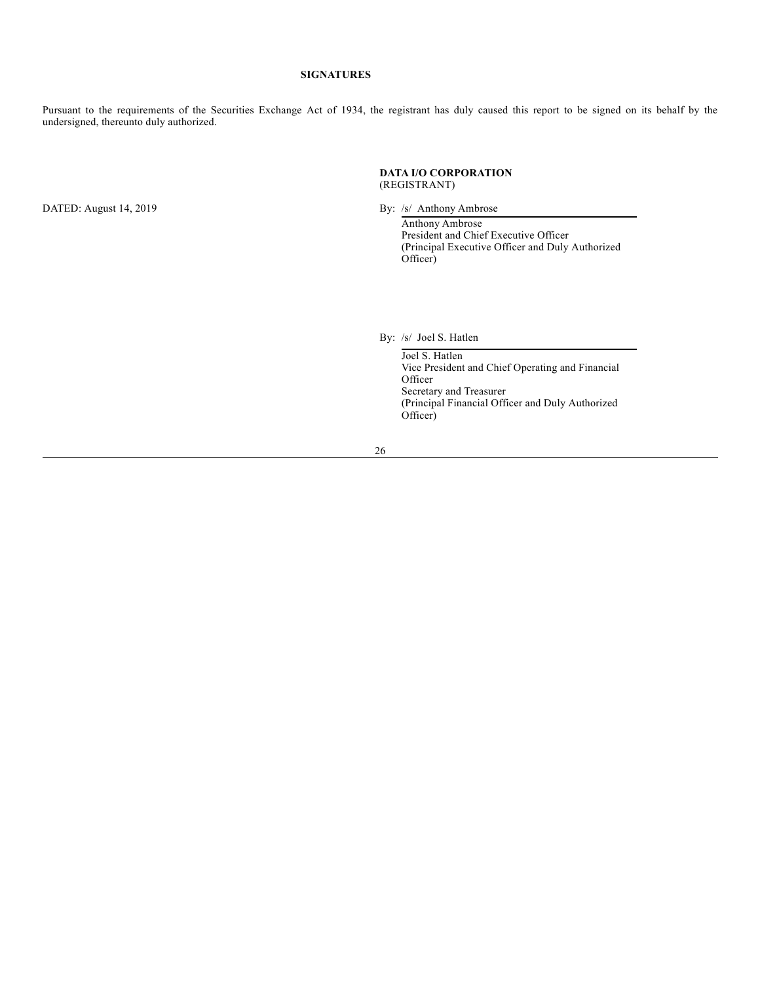#### <span id="page-25-0"></span>**SIGNATURES**

Pursuant to the requirements of the Securities Exchange Act of 1934, the registrant has duly caused this report to be signed on its behalf by the undersigned, thereunto duly authorized.

#### **DATA I/O CORPORATION** (REGISTRANT)

DATED: August 14, 2019 By: /s/ Anthony Ambrose

Anthony Ambrose President and Chief Executive Officer (Principal Executive Officer and Duly Authorized Officer)

By: /s/ Joel S. Hatlen

Joel S. Hatlen Vice President and Chief Operating and Financial **Officer** Secretary and Treasurer (Principal Financial Officer and Duly Authorized Officer)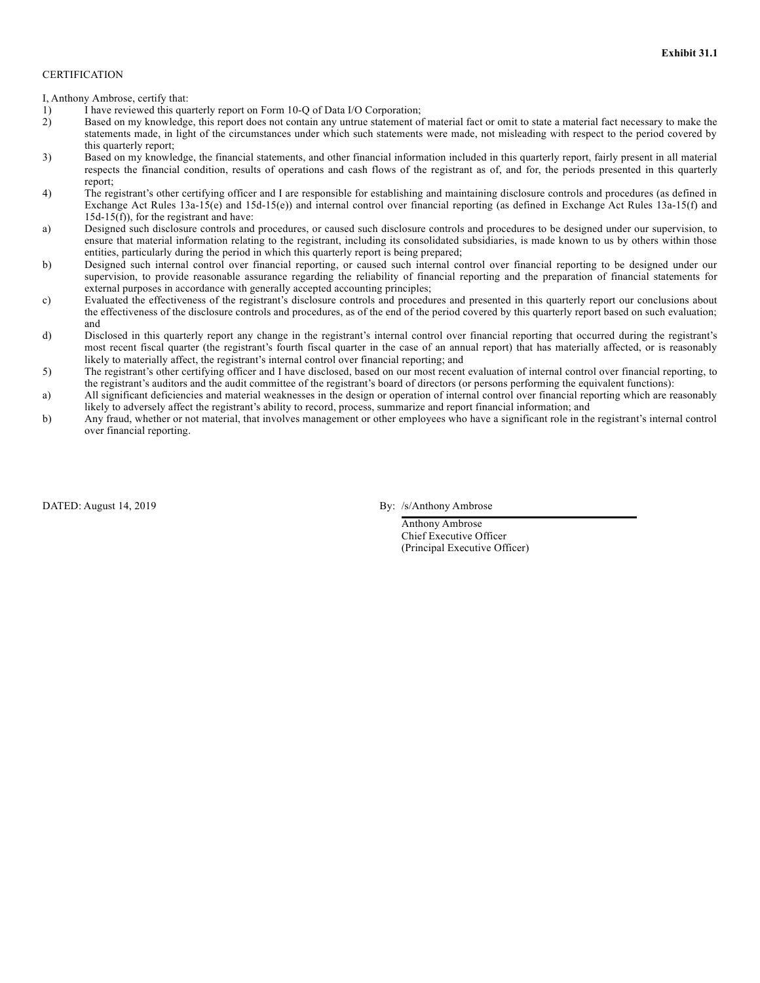#### **CERTIFICATION**

I, Anthony Ambrose, certify that:

- 1) I have reviewed this quarterly report on Form 10-Q of Data I/O Corporation;<br>2) Based on my knowledge, this report does not contain any untrue statement of
- 2) Based on my knowledge, this report does not contain any untrue statement of material fact or omit to state a material fact necessary to make the statements made, in light of the circumstances under which such statements were made, not misleading with respect to the period covered by this quarterly report;
- 3) Based on my knowledge, the financial statements, and other financial information included in this quarterly report, fairly present in all material respects the financial condition, results of operations and cash flows of the registrant as of, and for, the periods presented in this quarterly report;
- 4) The registrant's other certifying officer and I are responsible for establishing and maintaining disclosure controls and procedures (as defined in Exchange Act Rules 13a-15(e) and 15d-15(e)) and internal control over financial reporting (as defined in Exchange Act Rules 13a-15(f) and  $15d-15(f)$ , for the registrant and have:
- a) Designed such disclosure controls and procedures, or caused such disclosure controls and procedures to be designed under our supervision, to ensure that material information relating to the registrant, including its consolidated subsidiaries, is made known to us by others within those entities, particularly during the period in which this quarterly report is being prepared;
- b) Designed such internal control over financial reporting, or caused such internal control over financial reporting to be designed under our supervision, to provide reasonable assurance regarding the reliability of financial reporting and the preparation of financial statements for external purposes in accordance with generally accepted accounting principles;
- c) Evaluated the effectiveness of the registrant's disclosure controls and procedures and presented in this quarterly report our conclusions about the effectiveness of the disclosure controls and procedures, as of the end of the period covered by this quarterly report based on such evaluation; and
- d) Disclosed in this quarterly report any change in the registrant's internal control over financial reporting that occurred during the registrant's most recent fiscal quarter (the registrant's fourth fiscal quarter in the case of an annual report) that has materially affected, or is reasonably likely to materially affect, the registrant's internal control over financial reporting; and
- 5) The registrant's other certifying officer and I have disclosed, based on our most recent evaluation of internal control over financial reporting, to the registrant's auditors and the audit committee of the registrant's board of directors (or persons performing the equivalent functions):
- a) All significant deficiencies and material weaknesses in the design or operation of internal control over financial reporting which are reasonably likely to adversely affect the registrant's ability to record, process, summarize and report financial information; and
- b) Any fraud, whether or not material, that involves management or other employees who have a significant role in the registrant's internal control over financial reporting.

DATED: August 14, 2019 By: /s/Anthony Ambrose

Anthony Ambrose Chief Executive Officer (Principal Executive Officer)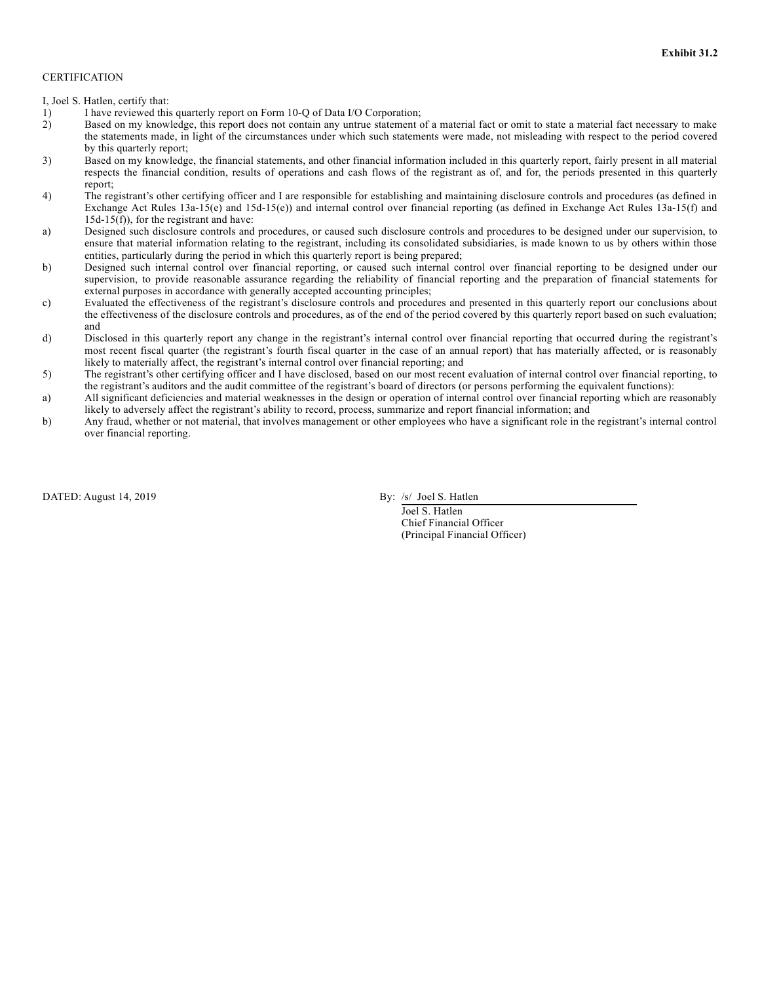#### **CERTIFICATION**

I, Joel S. Hatlen, certify that:

- 1) I have reviewed this quarterly report on Form 10-Q of Data I/O Corporation;
- 2) Based on my knowledge, this report does not contain any untrue statement of a material fact or omit to state a material fact necessary to make the statements made, in light of the circumstances under which such statements were made, not misleading with respect to the period covered by this quarterly report;
- 3) Based on my knowledge, the financial statements, and other financial information included in this quarterly report, fairly present in all material respects the financial condition, results of operations and cash flows of the registrant as of, and for, the periods presented in this quarterly report;
- 4) The registrant's other certifying officer and I are responsible for establishing and maintaining disclosure controls and procedures (as defined in Exchange Act Rules 13a-15(e) and 15d-15(e)) and internal control over financial reporting (as defined in Exchange Act Rules 13a-15(f) and  $15d-15(f)$ , for the registrant and have:
- a) Designed such disclosure controls and procedures, or caused such disclosure controls and procedures to be designed under our supervision, to ensure that material information relating to the registrant, including its consolidated subsidiaries, is made known to us by others within those entities, particularly during the period in which this quarterly report is being prepared;
- b) Designed such internal control over financial reporting, or caused such internal control over financial reporting to be designed under our supervision, to provide reasonable assurance regarding the reliability of financial reporting and the preparation of financial statements for external purposes in accordance with generally accepted accounting principles;
- c) Evaluated the effectiveness of the registrant's disclosure controls and procedures and presented in this quarterly report our conclusions about the effectiveness of the disclosure controls and procedures, as of the end of the period covered by this quarterly report based on such evaluation; and
- d) Disclosed in this quarterly report any change in the registrant's internal control over financial reporting that occurred during the registrant's most recent fiscal quarter (the registrant's fourth fiscal quarter in the case of an annual report) that has materially affected, or is reasonably likely to materially affect, the registrant's internal control over financial reporting; and
- 5) The registrant's other certifying officer and I have disclosed, based on our most recent evaluation of internal control over financial reporting, to the registrant's auditors and the audit committee of the registrant's board of directors (or persons performing the equivalent functions):
- a) All significant deficiencies and material weaknesses in the design or operation of internal control over financial reporting which are reasonably likely to adversely affect the registrant's ability to record, process, summarize and report financial information; and
- b) Any fraud, whether or not material, that involves management or other employees who have a significant role in the registrant's internal control over financial reporting.

DATED: August 14, 2019 By: /s/ Joel S. Hatlen

Joel S. Hatlen Chief Financial Officer (Principal Financial Officer)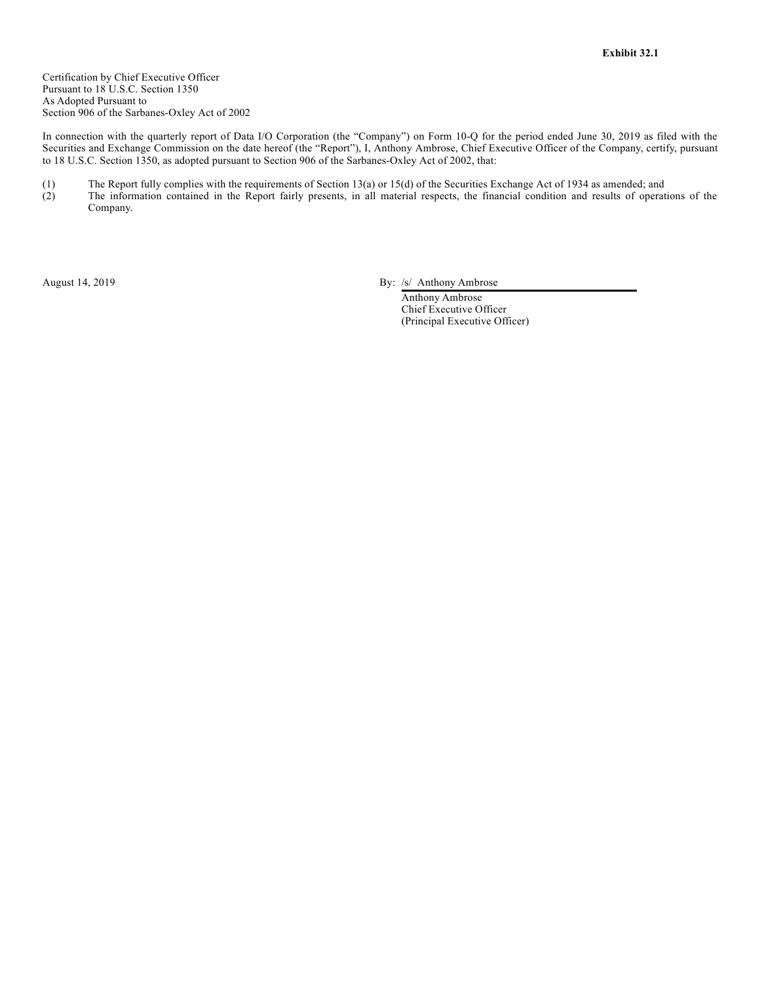Certification by Chief Executive Officer Pursuant to 18 U.S.C. Section 1350 As Adopted Pursuant to Section 906 of the Sarbanes-Oxley Act of 2002

In connection with the quarterly report of Data I/O Corporation (the "Company") on Form 10-Q for the period ended June 30, 2019 as filed with the Securities and Exchange Commission on the date hereof (the "Report"), I, Anthony Ambrose, Chief Executive Officer of the Company, certify, pursuant to 18 U.S.C. Section 1350, as adopted pursuant to Section 906 of the Sarbanes-Oxley Act of 2002, that:

(1) The Report fully complies with the requirements of Section 13(a) or 15(d) of the Securities Exchange Act of 1934 as amended; and (2) The information contained in the Report fairly presents, in all material respects, th The information contained in the Report fairly presents, in all material respects, the financial condition and results of operations of the Company.

August 14, 2019 By: /s/ Anthony Ambrose

Anthony Ambrose Chief Executive Officer (Principal Executive Officer)